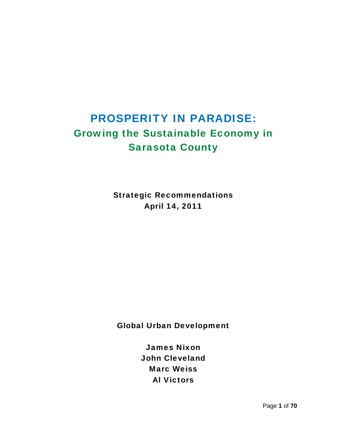# PROSPERITY IN PARADISE: Growing the Sustainable Economy in Sarasota County

Strategic Recommendations April 14, 2011

Global Urban Development

James Nixon John Cleveland Marc Weiss Al Victors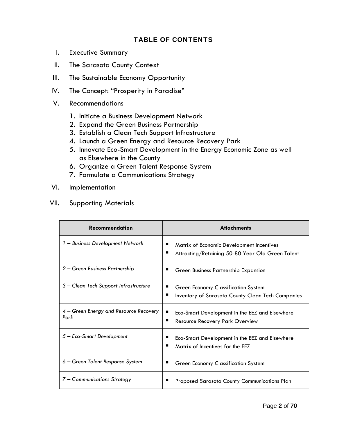### TABLE OF CONTENTS

- I. Executive Summary
- II. The Sarasota County Context
- III. The Sustainable Economy Opportunity
- IV. The Concept: "Prosperity in Paradise"
- V. Recommendations
	- 1. Initiate a Business Development Network
	- 2. Expand the Green Business Partnership
	- 3. Establish a Clean Tech Support Infrastructure
	- 4. Launch a Green Energy and Resource Recovery Park
	- 5. Innovate Eco-Smart Development in the Energy Economic Zone as well as Elsewhere in the County
	- 6. Organize a Green Talent Response System
	- 7. Formulate a Communications Strategy
- VI. Implementation
- VII. Supporting Materials

| <b>Recommendation</b>                          | <b>Attachments</b>                                                                              |
|------------------------------------------------|-------------------------------------------------------------------------------------------------|
| 1 - Business Development Network               | Matrix of Economic Development Incentives<br>Attracting/Retaining 50-80 Year Old Green Talent   |
| 2 – Green Business Partnership                 | Green Business Partnership Expansion                                                            |
| 3 – Clean Tech Support Infrastructure          | <b>Green Economy Classification System</b><br>Inventory of Sarasota County Clean Tech Companies |
| 4 – Green Energy and Resource Recovery<br>Park | Eco-Smart Development in the EEZ and Elsewhere<br>■<br><b>Resource Recovery Park Overview</b>   |
| 5 – Eco-Smart Development                      | Eco-Smart Development in the EEZ and Elsewhere<br>Matrix of Incentives for the EEZ              |
| $6 -$ Green Talent Response System             | Green Economy Classification System                                                             |
| 7 – Communications Strategy                    | Proposed Sarasota County Communications Plan                                                    |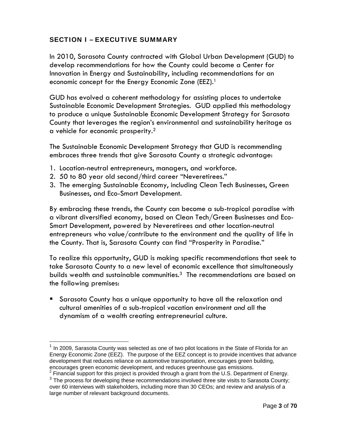# SECTION I – EXECUTIVE SUMMARY

In 2010, Sarasota County contracted with Global Urban Development (GUD) to develop recommendations for how the County could become a Center for Innovation in Energy and Sustainability, including recommendations for an economic concept for the Energy Economic Zone (EEZ).<sup>1</sup>

GUD has evolved a coherent methodology for assisting places to undertake Sustainable Economic Development Strategies. GUD applied this methodology to produce a unique Sustainable Economic Development Strategy for Sarasota County that leverages the region's environmental and sustainability heritage as a vehicle for economic prosperity.2

The Sustainable Economic Development Strategy that GUD is recommending embraces three trends that give Sarasota County a strategic advantage:

- 1. Location-neutral entrepreneurs, managers, and workforce.
- 2. 50 to 80 year old second/third career "Neveretirees."

3. The emerging Sustainable Economy, including Clean Tech Businesses, Green Businesses, and Eco-Smart Development.

By embracing these trends, the County can become a sub-tropical paradise with a vibrant diversified economy, based on Clean Tech/Green Businesses and Eco-Smart Development, powered by Neveretirees and other location-neutral entrepreneurs who value/contribute to the environment and the quality of life in the County. That is, Sarasota County can find "Prosperity in Paradise."

To realize this opportunity, GUD is making specific recommendations that seek to take Sarasota County to a new level of economic excellence that simultaneously builds wealth and sustainable communities.<sup>3</sup> The recommendations are based on the following premises:

 Sarasota County has a unique opportunity to have all the relaxation and cultural amenities of a sub-tropical vacation environment *and* all the dynamism of a wealth creating entrepreneurial culture.

In 2009, Sarasota County was selected as one of two pilot locations in the State of Florida for an Energy Economic Zone (EEZ). The purpose of the EEZ concept is to provide incentives that advance development that reduces reliance on automotive transportation, encourages green building, encourages green economic development, and reduces greenhouse gas emissions.

 $2$  Financial support for this project is provided through a grant from the U.S. Department of Energy.

 $3$  The process for developing these recommendations involved three site visits to Sarasota County; over 60 interviews with stakeholders, including more than 30 CEOs; and review and analysis of a large number of relevant background documents.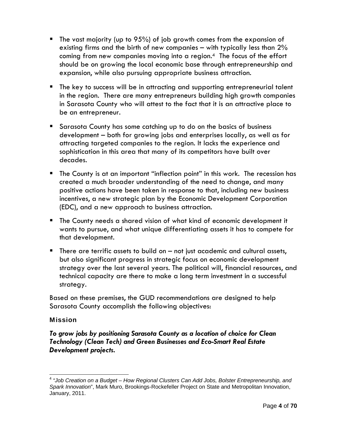- $\blacksquare$  The vast majority (up to 95%) of job growth comes from the expansion of existing firms and the birth of new companies – with typically less than 2% coming from new companies moving into a region.4 The focus of the effort should be on growing the local economic base through entrepreneurship and expansion, while also pursuing appropriate business attraction.
- **The key to success will be in attracting and supporting entrepreneurial talent** in the region. There are many entrepreneurs building high growth companies in Sarasota County who will attest to the fact that it is an attractive place to be an entrepreneur.
- Sarasota County has some catching up to do on the basics of business development – both for growing jobs and enterprises locally, as well as for attracting targeted companies to the region. It lacks the experience and sophistication in this area that many of its competitors have built over decades.
- **The County is at an important "inflection point" in this work. The recession has** created a much broader understanding of the need to change, and many positive actions have been taken in response to that, including new business incentives, a new strategic plan by the Economic Development Corporation (EDC), and a new approach to business attraction.
- The County needs a shared vision of what kind of economic development it wants to pursue, and what unique differentiating assets it has to compete for that development.
- $\blacksquare$  There are terrific assets to build on  $-$  not just academic and cultural assets, but also significant progress in strategic focus on economic development strategy over the last several years. The political will, financial resources, and technical capacity are there to make a long term investment in a successful strategy.

Based on these premises, the GUD recommendations are designed to help Sarasota County accomplish the following objectives:

### Mission

*To grow jobs by positioning Sarasota County as a location of choice for Clean Technology (Clean Tech) and Green Businesses and Eco-Smart Real Estate Development projects.* 

 <sup>4</sup> *"Job Creation on a Budget – How Regional Clusters Can Add Jobs, Bolster Entrepreneurship, and Spark Innovation*", Mark Muro, Brookings-Rockefeller Project on State and Metropolitan Innovation, January, 2011.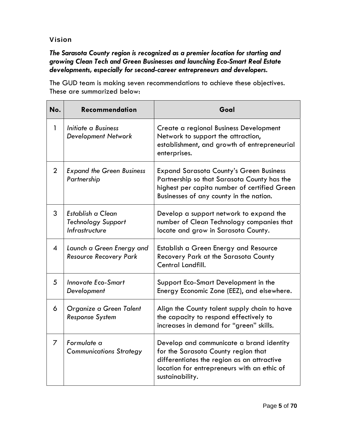### Vision

# *The Sarasota County region is recognized as a premier location for starting and growing Clean Tech and Green Businesses and launching Eco-Smart Real Estate developments, especially for second-career entrepreneurs and developers.*

The GUD team is making seven recommendations to achieve these objectives. These are summarized below:

| No.          | <b>Recommendation</b>                                                   | Goal                                                                                                                                                                                            |
|--------------|-------------------------------------------------------------------------|-------------------------------------------------------------------------------------------------------------------------------------------------------------------------------------------------|
| $\mathbf{1}$ | Initiate a Business<br><b>Development Network</b>                       | Create a regional Business Development<br>Network to support the attraction,<br>establishment, and growth of entrepreneurial<br>enterprises.                                                    |
| 2            | <b>Expand the Green Business</b><br>Partnership                         | <b>Expand Sarasota County's Green Business</b><br>Partnership so that Sarasota County has the<br>highest per capita number of certified Green<br>Businesses of any county in the nation.        |
| 3            | Establish a Clean<br><b>Technology Support</b><br><b>Infrastructure</b> | Develop a support network to expand the<br>number of Clean Technology companies that<br>locate and grow in Sarasota County.                                                                     |
| 4            | Launch a Green Energy and<br><b>Resource Recovery Park</b>              | Establish a Green Energy and Resource<br>Recovery Park at the Sarasota County<br>Central Landfill.                                                                                              |
| 5            | <b>Innovate Eco-Smart</b><br>Development                                | Support Eco-Smart Development in the<br>Energy Economic Zone (EEZ), and elsewhere.                                                                                                              |
| 6            | Organize a Green Talent<br><b>Response System</b>                       | Align the County talent supply chain to have<br>the capacity to respond effectively to<br>increases in demand for "green" skills.                                                               |
| 7            | Formulate a<br><b>Communications Strategy</b>                           | Develop and communicate a brand identity<br>for the Sarasota County region that<br>differentiates the region as an attractive<br>location for entrepreneurs with an ethic of<br>sustainability. |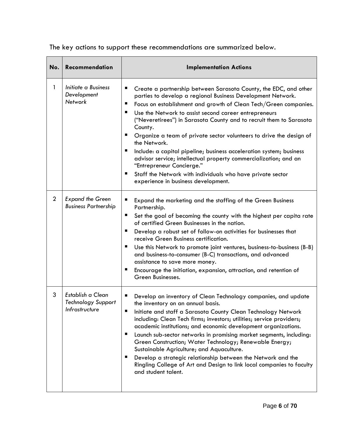| No.            | Recommendation                                                   | <b>Implementation Actions</b>                                                                                                                                                                                                                                                                                                                                                                                                                                                                                                                                                                                                                                                                                                                    |
|----------------|------------------------------------------------------------------|--------------------------------------------------------------------------------------------------------------------------------------------------------------------------------------------------------------------------------------------------------------------------------------------------------------------------------------------------------------------------------------------------------------------------------------------------------------------------------------------------------------------------------------------------------------------------------------------------------------------------------------------------------------------------------------------------------------------------------------------------|
| 1              | Initiate a Business<br>Development<br>Network                    | Create a partnership between Sarasota County, the EDC, and other<br>п<br>parties to develop a regional Business Development Network.<br>Focus on establishment and growth of Clean Tech/Green companies.<br>п<br>п<br>Use the Network to assist second career entrepreneurs<br>("Neveretirees") in Sarasota County and to recruit them to Sarasota<br>County.<br>п<br>Organize a team of private sector volunteers to drive the design of<br>the Network.<br>п<br>Include: a capital pipeline; business acceleration system; business<br>advisor service; intellectual property commercialization; and an<br>"Entrepreneur Concierge."<br>п<br>Staff the Network with individuals who have private sector<br>experience in business development. |
| $\overline{2}$ | <b>Expand the Green</b><br><b>Business Partnership</b>           | п<br>Expand the marketing and the staffing of the Green Business<br>Partnership.<br>Set the goal of becoming the county with the highest per capita rate<br>п<br>of certified Green Businesses in the nation.<br>Develop a robust set of follow-on activities for businesses that<br>п<br>receive Green Business certification.<br>п<br>Use this Network to promote joint ventures, business-to-business (B-B)<br>and business-to-consumer (B-C) transactions, and advanced<br>assistance to save more money.<br>Encourage the initiation, expansion, attraction, and retention of<br>ш<br>Green Businesses.                                                                                                                                     |
| 3              | Establish a Clean<br><b>Technology Support</b><br>Infrastructure | п<br>Develop an inventory of Clean Technology companies, and update<br>the inventory on an annual basis.<br>Initiate and staff a Sarasota County Clean Technology Network<br>п<br>including: Clean Tech firms; investors; utilities; service providers;<br>academic institutions; and economic development organizations.<br>Launch sub-sector networks in promising market segments, including:<br>ш<br>Green Construction; Water Technology; Renewable Energy;<br>Sustainable Agriculture; and Aquaculture.<br>Develop a strategic relationship between the Network and the<br>Ringling College of Art and Design to link local companies to faculty<br>and student talent.                                                                    |

The key actions to support these recommendations are summarized below.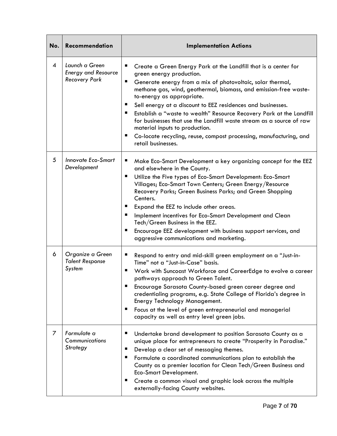| No.            | Recommendation                                                       | <b>Implementation Actions</b>                                                                                                                                                                                                                                                                                                                                                                                                                                                                                                                                                                                                    |
|----------------|----------------------------------------------------------------------|----------------------------------------------------------------------------------------------------------------------------------------------------------------------------------------------------------------------------------------------------------------------------------------------------------------------------------------------------------------------------------------------------------------------------------------------------------------------------------------------------------------------------------------------------------------------------------------------------------------------------------|
| $\overline{4}$ | Launch a Green<br><b>Energy and Resource</b><br><b>Recovery Park</b> | ш<br>Create a Green Energy Park at the Landfill that is a center for<br>green energy production.<br>п<br>Generate energy from a mix of photovoltaic, solar thermal,<br>methane gas, wind, geothermal, biomass, and emission-free waste-<br>to-energy as appropriate.<br>ш<br>Sell energy at a discount to EEZ residences and businesses.<br>ш<br>Establish a "waste to wealth" Resource Recovery Park at the Landfill<br>for businesses that use the Landfill waste stream as a source of raw<br>material inputs to production.<br>ш<br>Co-locate recycling, reuse, compost processing, manufacturing, and<br>retail businesses. |
| 5              | <b>Innovate Eco-Smart</b><br>Development                             | п<br>Make Eco-Smart Development a key organizing concept for the EEZ<br>and elsewhere in the County.<br>Utilize the Five types of Eco-Smart Development: Eco-Smart<br>п<br>Villages; Eco-Smart Town Centers; Green Energy/Resource<br>Recovery Parks; Green Business Parks; and Green Shopping<br>Centers.<br>ш<br>Expand the EEZ to include other areas.<br>Implement incentives for Eco-Smart Development and Clean<br>ш<br>Tech/Green Business in the EEZ.<br>Encourage EEZ development with business support services, and<br>ш<br>aggressive communications and marketing.                                                  |
| 6              | Organize a Green<br><b>Talent Response</b><br>System                 | п<br>Respond to entry and mid-skill green employment on a "Just-in-<br>Time" not a "Just-in-Case" basis.<br>Work with Suncoast Workforce and CareerEdge to evolve a career<br>ш<br>pathways approach to Green Talent.<br>п<br>Encourage Sarasota County-based green career degree and<br>credentialing programs, e.g. State College of Florida's degree in<br>Energy Technology Management.<br>Focus at the level of green entrepreneurial and managerial<br>п<br>capacity as well as entry level green jobs.                                                                                                                    |
| 7              | Formulate a<br>Communications<br>Strategy                            | п<br>Undertake brand development to position Sarasota County as a<br>unique place for entrepreneurs to create "Prosperity in Paradise."<br>Develop a clear set of messaging themes.<br>п<br>ш<br>Formulate a coordinated communications plan to establish the<br>County as a premier location for Clean Tech/Green Business and<br>Eco-Smart Development.<br>Create a common visual and graphic look across the multiple<br>п<br>externally-facing County websites.                                                                                                                                                              |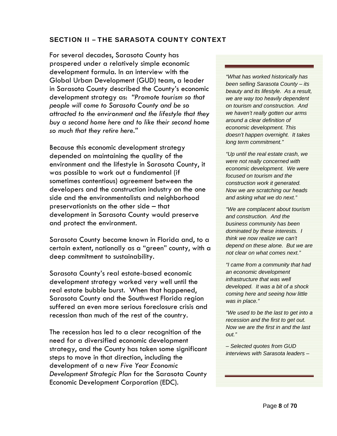### SECTION II – THE SARASOTA COUNTY CONTEXT

For several decades, Sarasota County has prospered under a relatively simple economic development formula. In an interview with the Global Urban Development (GUD) team, a leader in Sarasota County described the County's economic development strategy as: *"Promote tourism so that people will come to Sarasota County and be so attracted to the environment and the lifestyle that they buy a second home here and to like their second home so much that they retire here."*

Because this economic development strategy depended on maintaining the quality of the environment and the lifestyle in Sarasota County, it was possible to work out a fundamental (if sometimes contentious) agreement between the developers and the construction industry on the one side and the environmentalists and neighborhood preservationists on the other side – that development in Sarasota County would preserve and protect the environment.

Sarasota County became known in Florida and, to a certain extent, nationally as a "green" county, with a deep commitment to sustainability.

Sarasota County's real estate-based economic development strategy worked very well until the real estate bubble burst. When that happened, Sarasota County and the Southwest Florida region suffered an even more serious foreclosure crisis and recession than much of the rest of the country.

The recession has led to a clear recognition of the need for a diversified economic development strategy, and the County has taken some significant steps to move in that direction, including the development of a new *Five Year Economic Development Strategic Plan* for the Sarasota County Economic Development Corporation (EDC)*.* 

*"What has worked historically has been selling Sarasota County – its beauty and its lifestyle. As a result, we are way too heavily dependent on tourism and construction. And we haven't really gotten our arms around a clear definition of economic development. This doesn't happen overnight. It takes long term commitment."* 

*"Up until the real estate crash, we were not really concerned with economic development. We were focused on tourism and the construction work it generated. Now we are scratching our heads and asking what we do next."* 

*"We are complacent about tourism and construction. And the business community has been dominated by these interests. I think we now realize we can't depend on these alone. But we are not clear on what comes next."* 

*"I came from a community that had an economic development infrastructure that was well developed. It was a bit of a shock coming here and seeing how little was in place."* 

*"We used to be the last to get into a recession and the first to get out. Now we are the first in and the last out."* 

*– Selected quotes from GUD interviews with Sarasota leaders –*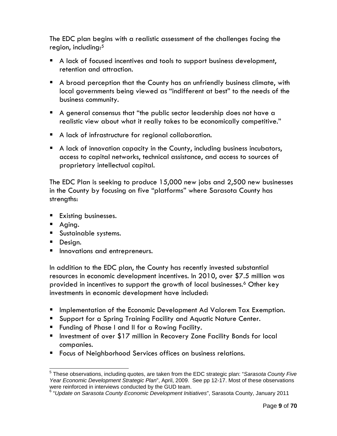The EDC plan begins with a realistic assessment of the challenges facing the region, including:5

- A lack of focused incentives and tools to support business development, retention and attraction.
- A broad perception that the County has an unfriendly business climate, with local governments being viewed as "indifferent at best" to the needs of the business community.
- A general consensus that "the public sector leadership does not have a realistic view about what it really takes to be economically competitive."
- A lack of infrastructure for regional collaboration.
- A lack of innovation capacity in the County, including business incubators, access to capital networks, technical assistance, and access to sources of proprietary intellectual capital.

The EDC Plan is seeking to produce 15,000 new jobs and 2,500 new businesses in the County by focusing on five "platforms" where Sarasota County has strengths:

- **Existing businesses.**
- **Aging.**
- **Sustainable systems.**
- Design.
- **Innovations and entrepreneurs.**

In addition to the EDC plan, the County has recently invested substantial resources in economic development incentives. In 2010, over \$7.5 million was provided in incentives to support the growth of local businesses.<sup>6</sup> Other key investments in economic development have included:

- **Inplementation of the Economic Development Ad Valorem Tax Exemption.**
- **Support for a Spring Training Facility and Aquatic Nature Center.**
- **Funding of Phase I and II for a Rowing Facility.**
- **Investment of over \$17 million in Recovery Zone Facility Bonds for local** companies.
- **Figure 1** Focus of Neighborhood Services offices on business relations.

 5 These observations, including quotes, are taken from the EDC strategic plan: "*Sarasota County Five Year Economic Development Strategic Plan*", April, 2009. See pp 12-17. Most of these observations

were reinforced in interviews conducted by the GUD team.<br><sup>6</sup> "*Update on Sarasota County Economic Development Initiatives*", Sarasota County, January 2011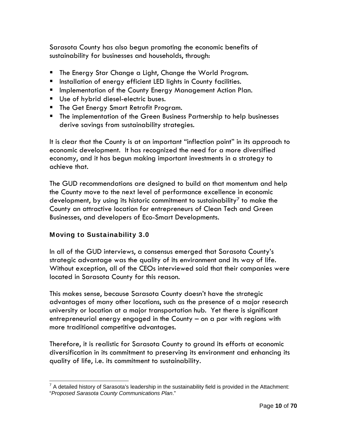Sarasota County has also begun promoting the economic benefits of sustainability for businesses and households, through:

- **The Energy Star Change a Light, Change the World Program.**
- **Installation of energy efficient LED lights in County facilities.**
- **Implementation of the County Energy Management Action Plan.**
- Use of hybrid diesel-electric buses.
- **The Get Energy Smart Retrofit Program.**
- **The implementation of the Green Business Partnership to help businesses** derive savings from sustainability strategies.

It is clear that the County is at an important "inflection point" in its approach to economic development. It has recognized the need for a more diversified economy, and it has begun making important investments in a strategy to achieve that.

The GUD recommendations are designed to build on that momentum and help the County move to the next level of performance excellence in economic development, by using its historic commitment to sustainability<sup>7</sup> to make the County an attractive location for entrepreneurs of Clean Tech and Green Businesses, and developers of Eco-Smart Developments.

# Moving to Sustainability 3.0

In all of the GUD interviews, a consensus emerged that Sarasota County's strategic advantage was the quality of its environment and its way of life. Without exception, all of the CEOs interviewed said that their companies were located in Sarasota County for this reason.

This makes sense, because Sarasota County doesn't have the strategic advantages of many other locations, such as the presence of a major research university or location at a major transportation hub. Yet there is significant entrepreneurial energy engaged in the County – on a par with regions with more traditional competitive advantages.

Therefore, it is realistic for Sarasota County to ground its efforts at economic diversification in its commitment to preserving its environment and enhancing its quality of life, i.e. its commitment to sustainability.

  $7$  A detailed history of Sarasota's leadership in the sustainability field is provided in the Attachment: "*Proposed Sarasota County Communications Plan*."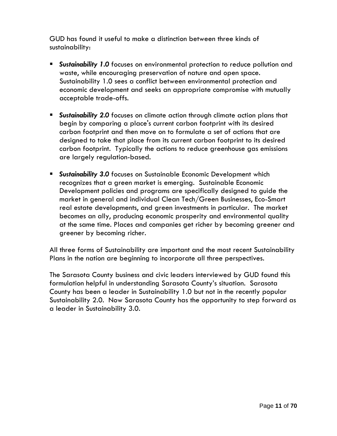GUD has found it useful to make a distinction between three kinds of sustainability:

- **Sustainability 1.0** focuses on environmental protection to reduce pollution and waste, while encouraging preservation of nature and open space. Sustainability 1.0 sees a conflict between environmental protection and economic development and seeks an appropriate compromise with mutually acceptable trade-offs.
- *Sustainability 2.0* focuses on climate action through climate action plans that begin by comparing a place's current carbon footprint with its desired carbon footprint and then move on to formulate a set of actions that are designed to take that place from its current carbon footprint to its desired carbon footprint. Typically the actions to reduce greenhouse gas emissions are largely regulation-based.
- *Sustainability 3.0* focuses on Sustainable Economic Development which recognizes that a green market is emerging. Sustainable Economic Development policies and programs are specifically designed to guide the market in general and individual Clean Tech/Green Businesses, Eco-Smart real estate developments, and green investments in particular. The market becomes an ally, producing economic prosperity and environmental quality at the same time. Places and companies get richer by becoming greener and greener by becoming richer.

All three forms of Sustainability are important and the most recent Sustainability Plans in the nation are beginning to incorporate all three perspectives.

The Sarasota County business and civic leaders interviewed by GUD found this formulation helpful in understanding Sarasota County's situation. Sarasota County has been a leader in Sustainability 1.0 but not in the recently popular Sustainability 2.0. Now Sarasota County has the opportunity to step forward as a leader in Sustainability 3.0.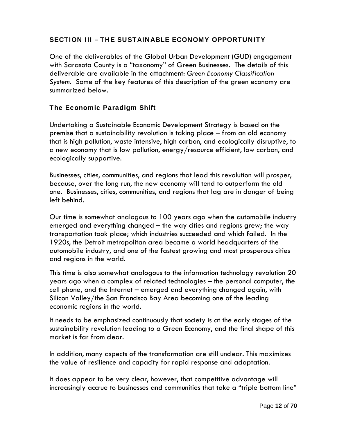### SECTION III – THE SUSTAINABLE ECONOMY OPPORTUNITY

One of the deliverables of the Global Urban Development (GUD) engagement with Sarasota County is a "taxonomy" of Green Businesses. The details of this deliverable are available in the attachment: *Green Economy Classification System*. Some of the key features of this description of the green economy are summarized below.

### The Economic Paradigm Shift

Undertaking a Sustainable Economic Development Strategy is based on the premise that a sustainability revolution is taking place – from an old economy that is high pollution, waste intensive, high carbon, and ecologically disruptive, to a new economy that is low pollution, energy/resource efficient, low carbon, and ecologically supportive.

Businesses, cities, communities, and regions that lead this revolution will prosper, because, over the long run, the new economy will tend to outperform the old one. Businesses, cities, communities, and regions that lag are in danger of being left behind.

Our time is somewhat analogous to 100 years ago when the automobile industry emerged and everything changed – the way cities and regions grew; the way transportation took place; which industries succeeded and which failed. In the 1920s, the Detroit metropolitan area became a world headquarters of the automobile industry, and one of the fastest growing and most prosperous cities and regions in the world.

This time is also somewhat analogous to the information technology revolution 20 years ago when a complex of related technologies – the personal computer, the cell phone, and the Internet – emerged and everything changed again, with Silicon Valley/the San Francisco Bay Area becoming one of the leading economic regions in the world.

It needs to be emphasized continuously that society is at the early stages of the sustainability revolution leading to a Green Economy, and the final shape of this market is far from clear.

In addition, many aspects of the transformation are still unclear. This maximizes the value of resilience and capacity for rapid response and adaptation.

It does appear to be very clear, however, that competitive advantage will increasingly accrue to businesses and communities that take a "triple bottom line"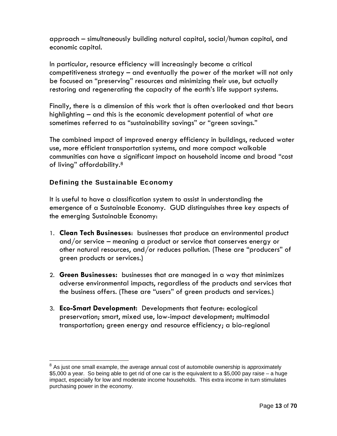approach – simultaneously building natural capital, social/human capital, and economic capital.

In particular, resource efficiency will increasingly become a critical competitiveness strategy – and eventually the power of the market will not only be focused on "preserving" resources and minimizing their use, but actually restoring and regenerating the capacity of the earth's life support systems.

Finally, there is a dimension of this work that is often overlooked and that bears highlighting – and this is the economic development potential of what are sometimes referred to as "sustainability savings" or "green savings."

The combined impact of improved energy efficiency in buildings, reduced water use, more efficient transportation systems, and more compact walkable communities can have a significant impact on household income and broad "cost of living" affordability.8

### Defining the Sustainable Economy

It is useful to have a classification system to assist in understanding the emergence of a Sustainable Economy. GUD distinguishes three key aspects of the emerging Sustainable Economy:

- 1. **Clean Tech Businesses**: businesses that produce an environmental product and/or service – meaning a product or service that conserves energy or other natural resources, and/or reduces pollution. (These are "producers" of green products or services.)
- 2. **Green Businesses:** businesses that are managed in a way that minimizes adverse environmental impacts, regardless of the products and services that the business offers. (These are "users" of green products and services.)
- 3. **Eco-Smart Development:** Developments that feature: ecological preservation; smart, mixed use, low-impact development; multimodal transportation; green energy and resource efficiency; a bio-regional

 $8$  As just one small example, the average annual cost of automobile ownership is approximately \$5,000 a year. So being able to get rid of one car is the equivalent to a \$5,000 pay raise – a huge impact, especially for low and moderate income households. This extra income in turn stimulates purchasing power in the economy.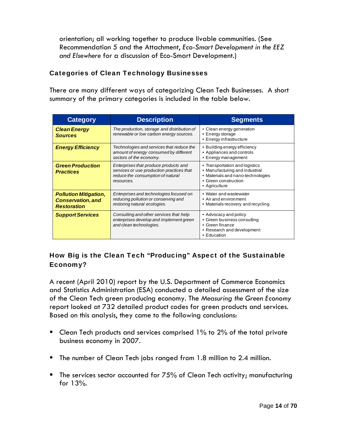orientation; all working together to produce livable communities. (See Recommendation 5 and the Attachment, *Eco-Smart Development in the EEZ and Elsewhere* for a discussion of Eco-Smart Development.)

### Categories of Clean Technology Businesses

There are many different ways of categorizing Clean Tech Businesses. A short summary of the primary categories is included in the table below.

| <b>Category</b>                                                                | <b>Description</b>                                                                                                                    | <b>Segments</b>                                                                                                                                |
|--------------------------------------------------------------------------------|---------------------------------------------------------------------------------------------------------------------------------------|------------------------------------------------------------------------------------------------------------------------------------------------|
| <b>Clean Energy</b><br><b>Sources</b>                                          | The production, storage and distribution of<br>renewable or low carbon energy sources.                                                | • Clean energy generation<br>• Energy storage<br>• Energy infrastructure                                                                       |
| <b>Energy Efficiency</b>                                                       | Technologies and services that reduce the<br>amount of energy consumed by different<br>sectors of the economy.                        | • Building energy efficiency<br>• Appliances and controls<br>• Energy management                                                               |
| <b>Green Production</b><br><b>Practices</b>                                    | Enterprises that produce products and<br>services or use production practices that<br>reduce the consumption of natural<br>resources. | • Transportation and logistics<br>• Manufacturing and industrial<br>• Materials and nano-technologies<br>• Green construction<br>• Agriculture |
| <b>Pollution Mitigation,</b><br><b>Conservation, and</b><br><b>Restoration</b> | Enterprises and technologies focused on<br>reducing pollution or conserving and<br>restoring natural ecologies.                       | • Water and wastewater<br>• Air and environment<br>• Materials recovery and recycling                                                          |
| <b>Support Services</b>                                                        | Consulting and other services that help<br>enterprises develop and implement green<br>and clean technologies.                         | • Advocacy and policy<br>• Green business consulting<br>• Green finance<br>• Research and development<br>• Education                           |

# How Big is the Clean Tech "Producing" Aspect of the Sustainable Economy?

A recent (April 2010) report by the U.S. Department of Commerce Economics and Statistics Administration (ESA) conducted a detailed assessment of the size of the Clean Tech green producing economy. The *Measuring the Green Economy* report looked at 732 detailed product codes for green products and services. Based on this analysis, they came to the following conclusions:

- **Clean Tech products and services comprised 1% to 2% of the total private** business economy in 2007.
- The number of Clean Tech jobs ranged from 1.8 million to 2.4 million.
- The services sector accounted for  $75%$  of Clean Tech activity; manufacturing for 13%.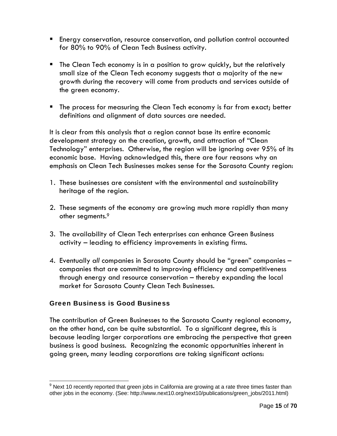- Energy conservation, resource conservation, and pollution control accounted for 80% to 90% of Clean Tech Business activity.
- The Clean Tech economy is in a position to grow quickly, but the relatively small size of the Clean Tech economy suggests that a majority of the new growth during the recovery will come from products and services outside of the green economy.
- **The process for measuring the Clean Tech economy is far from exact; better** definitions and alignment of data sources are needed.

It is clear from this analysis that a region cannot base its entire economic development strategy on the creation, growth, and attraction of "Clean Technology" enterprises. Otherwise, the region will be ignoring over 95% of its economic base. Having acknowledged this, there are four reasons why an emphasis on Clean Tech Businesses makes sense for the Sarasota County region:

- 1. These businesses are consistent with the environmental and sustainability heritage of the region.
- 2. These segments of the economy are growing much more rapidly than many other segments.9
- 3. The availability of Clean Tech enterprises can enhance Green Business activity – leading to efficiency improvements in existing firms.
- 4. Eventually *all* companies in Sarasota County should be "green" companies companies that are committed to improving efficiency and competitiveness through energy and resource conservation – thereby expanding the local market for Sarasota County Clean Tech Businesses.

### Green Business is Good Business

The contribution of Green Businesses to the Sarasota County regional economy, on the other hand, can be quite substantial. To a significant degree, this is because leading larger corporations are embracing the perspective that green business is good business. Recognizing the economic opportunities inherent in going green, many leading corporations are taking significant actions:

  $9$  Next 10 recently reported that green jobs in California are growing at a rate three times faster than other jobs in the economy. (See: http://www.next10.org/next10/publications/green\_jobs/2011.html)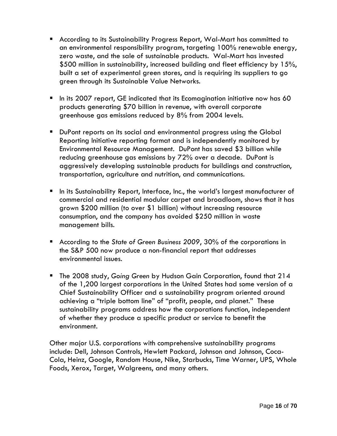- According to its Sustainability Progress Report, Wal-Mart has committed to an environmental responsibility program, targeting 100% renewable energy, zero waste, and the sale of sustainable products. Wal-Mart has invested \$500 million in sustainability, increased building and fleet efficiency by 15%, built a set of experimental green stores, and is requiring its suppliers to go green through its Sustainable Value Networks.
- In its 2007 report, GE indicated that its Ecomagination initiative now has 60 products generating \$70 billion in revenue, with overall corporate greenhouse gas emissions reduced by 8% from 2004 levels.
- DuPont reports on its social and environmental progress using the Global Reporting Initiative reporting format and is independently monitored by Environmental Resource Management. DuPont has saved \$3 billion while reducing greenhouse gas emissions by 72% over a decade. DuPont is aggressively developing sustainable products for buildings and construction, transportation, agriculture and nutrition, and communications.
- In its Sustainability Report, Interface, Inc., the world's largest manufacturer of commercial and residential modular carpet and broadloom, shows that it has grown \$200 million (to over \$1 billion) without increasing resource consumption, and the company has avoided \$250 million in waste management bills.
- According to the *State of Green Business 2009*, 30% of the corporations in the S&P 500 now produce a non-financial report that addresses environmental issues.
- The 2008 study, *Going Green* by Hudson Gain Corporation, found that 214 of the 1,200 largest corporations in the United States had some version of a Chief Sustainability Officer and a sustainability program oriented around achieving a "triple bottom line" of "profit, people, and planet." These sustainability programs address how the corporations function, independent of whether they produce a specific product or service to benefit the environment.

Other major U.S. corporations with comprehensive sustainability programs include: Dell, Johnson Controls, Hewlett Packard, Johnson and Johnson, Coca-Cola, Heinz, Google, Random House, Nike, Starbucks, Time Warner, UPS, Whole Foods, Xerox, Target, Walgreens, and many others.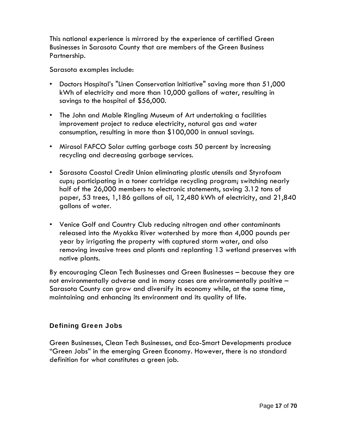This national experience is mirrored by the experience of certified Green Businesses in Sarasota County that are members of the Green Business Partnership.

Sarasota examples include:

- Doctors Hospital's "Linen Conservation Initiative" saving more than 51,000 kWh of electricity and more than 10,000 gallons of water, resulting in savings to the hospital of \$56,000.
- The John and Mable Ringling Museum of Art undertaking a facilities improvement project to reduce electricity, natural gas and water consumption, resulting in more than \$100,000 in annual savings.
- Mirasol FAFCO Solar cutting garbage costs 50 percent by increasing recycling and decreasing garbage services.
- Sarasota Coastal Credit Union eliminating plastic utensils and Styrofoam cups; participating in a toner cartridge recycling program; switching nearly half of the 26,000 members to electronic statements, saving 3.12 tons of paper, 53 trees, 1,186 gallons of oil, 12,480 kWh of electricity, and 21,840 gallons of water.
- Venice Golf and Country Club reducing nitrogen and other contaminants released into the Myakka River watershed by more than 4,000 pounds per year by irrigating the property with captured storm water, and also removing invasive trees and plants and replanting 13 wetland preserves with native plants.

By encouraging Clean Tech Businesses and Green Businesses – because they are not environmentally adverse and in many cases are environmentally positive – Sarasota County can grow and diversify its economy while, at the same time, maintaining and enhancing its environment and its quality of life.

# Defining Green Jobs

Green Businesses, Clean Tech Businesses, and Eco-Smart Developments produce "Green Jobs" in the emerging Green Economy. However, there is no standard definition for what constitutes a green job.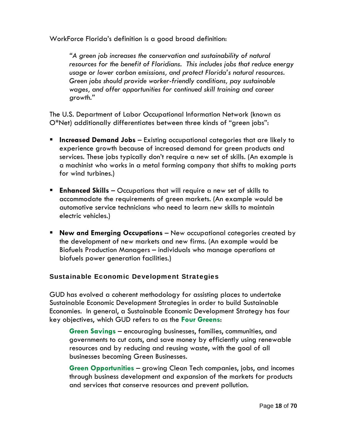WorkForce Florida's definition is a good broad definition:

*"A green job increases the conservation and sustainability of natural resources for the benefit of Floridians. This includes jobs that reduce energy usage or lower carbon emissions, and protect Florida's natural resources. Green jobs should provide worker-friendly conditions, pay sustainable wages, and offer opportunities for continued skill training and career growth."* 

The U.S. Department of Labor Occupational Information Network (known as O\*Net) additionally differentiates between three kinds of "green jobs":

- **Increased Demand Jobs** Existing occupational categories that are likely to experience growth because of increased demand for green products and services. These jobs typically don't require a new set of skills. (An example is a machinist who works in a metal forming company that shifts to making parts for wind turbines.)
- **Enhanced Skills** Occupations that will require a new set of skills to accommodate the requirements of green markets. (An example would be automotive service technicians who need to learn new skills to maintain electric vehicles.)
- **New and Emerging Occupations** New occupational categories created by the development of new markets and new firms. (An example would be Biofuels Production Managers – individuals who manage operations at biofuels power generation facilities.)

### Sustainable Economic Development Strategies

GUD has evolved a coherent methodology for assisting places to undertake Sustainable Economic Development Strategies in order to build Sustainable Economies. In general, a Sustainable Economic Development Strategy has four key objectives, which GUD refers to as the **Four Greens**:

**Green Savings** – encouraging businesses, families, communities, and governments to cut costs, and save money by efficiently using renewable resources and by reducing and reusing waste, with the goal of all businesses becoming Green Businesses.

**Green Opportunities** – growing Clean Tech companies, jobs, and incomes through business development and expansion of the markets for products and services that conserve resources and prevent pollution.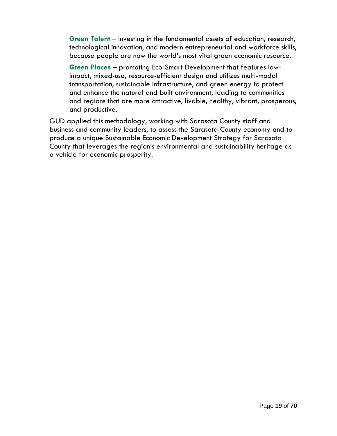**Green Talent** – investing in the fundamental assets of education, research, technological innovation, and modern entrepreneurial and workforce skills, because people are now the world's most vital green economic resource.

**Green Places** – promoting Eco-Smart Development that features lowimpact, mixed-use, resource-efficient design and utilizes multi-modal transportation, sustainable infrastructure, and green energy to protect and enhance the natural and built environment, leading to communities and regions that are more attractive, livable, healthy, vibrant, prosperous, and productive.

GUD applied this methodology, working with Sarasota County staff and business and community leaders, to assess the Sarasota County economy and to produce a unique Sustainable Economic Development Strategy for Sarasota County that leverages the region's environmental and sustainability heritage as a vehicle for economic prosperity.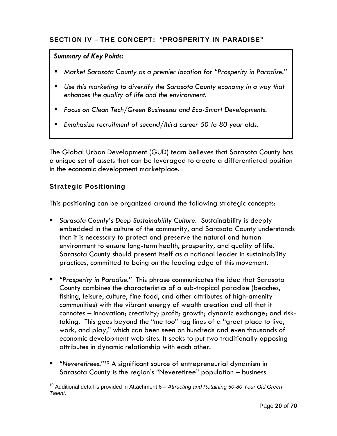### SECTION IV – THE CONCEPT: "PROSPERITY IN PARADISE"

#### *Summary of Key Points:*

- *Market Sarasota County as a premier location for "Prosperity in Paradise."*
- *Use this marketing to diversify the Sarasota County economy in a way that enhances the quality of life and the environment.*
- *Focus on Clean Tech/Green Businesses and Eco-Smart Developments.*
- *Emphasize recruitment of second/third career 50 to 80 year olds.*

The Global Urban Development (GUD) team believes that Sarasota County has a unique set of assets that can be leveraged to create a differentiated position in the economic development marketplace.

### Strategic Positioning

This positioning can be organized around the following strategic concepts:

- *Sarasota County's Deep Sustainability Culture.* Sustainability is deeply embedded in the culture of the community, and Sarasota County understands that it is necessary to protect and preserve the natural and human environment to ensure long-term health, prosperity, and quality of life. Sarasota County should present itself as a national leader in sustainability practices, committed to being on the leading edge of this movement.
- *"Prosperity in Paradise."* This phrase communicates the idea that Sarasota County combines the characteristics of a sub-tropical paradise (beaches, fishing, leisure, culture, fine food, and other attributes of high-amenity communities) with the vibrant energy of wealth creation and all that it connotes – innovation; creativity; profit; growth; dynamic exchange; and risktaking. This goes beyond the "me too" tag lines of a "great place to live, work, and play," which can been seen on hundreds and even thousands of economic development web sites. It seeks to put two traditionally opposing attributes in dynamic relationship with each other.
- *"Neveretirees."10* A significant source of entrepreneurial dynamism in Sarasota County is the region's "Neveretiree" population – business

<sup>10</sup> Additional detail is provided in Attachment 6 – *Attracting and Retaining 50-80 Year Old Green Talent*.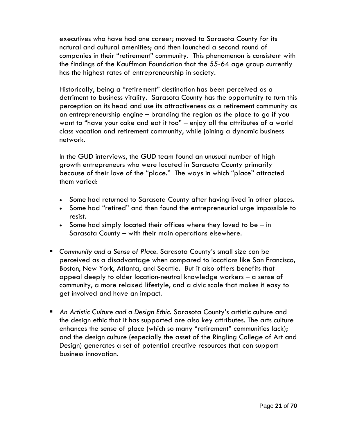executives who have had one career; moved to Sarasota County for its natural and cultural amenities; and then launched a second round of companies in their "retirement" community. This phenomenon is consistent with the findings of the Kauffman Foundation that the 55-64 age group currently has the highest rates of entrepreneurship in society.

Historically, being a "retirement" destination has been perceived as a detriment to business vitality. Sarasota County has the opportunity to turn this perception on its head and use its attractiveness as a retirement community as an entrepreneurship engine – branding the region as *the* place to go if you want to "have your cake and eat it too" – enjoy all the attributes of a world class vacation and retirement community, while joining a dynamic business network.

In the GUD interviews, the GUD team found an unusual number of high growth entrepreneurs who were located in Sarasota County primarily because of their love of the "place." The ways in which "place" attracted them varied:

- Some had returned to Sarasota County after having lived in other places.
- Some had "retired" and then found the entrepreneurial urge impossible to resist.
- Some had simply located their offices where they loved to be  $-$  in Sarasota County – with their main operations elsewhere.
- *Community and a Sense of Place.* Sarasota County's small size can be perceived as a disadvantage when compared to locations like San Francisco, Boston, New York, Atlanta, and Seattle. But it also offers benefits that appeal deeply to older location-neutral knowledge workers – a sense of community, a more relaxed lifestyle, and a civic scale that makes it easy to get involved and have an impact.
- *An Artistic Culture and a Design Ethic.* Sarasota County's artistic culture and the design ethic that it has supported are also key attributes. The arts culture enhances the sense of place (which so many "retirement" communities lack); and the design culture (especially the asset of the Ringling College of Art and Design) generates a set of potential creative resources that can support business innovation.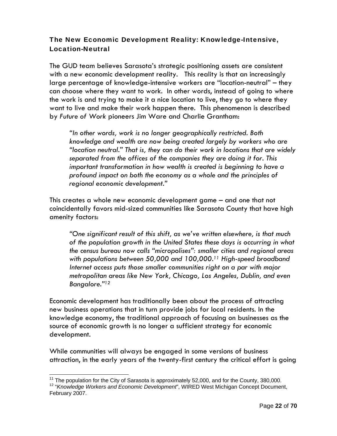# The New Economic Development Reality: Knowledge-Intensive, Location-Neutral

The GUD team believes Sarasota's strategic positioning assets are consistent with a new economic development reality. This reality is that an increasingly large percentage of knowledge-intensive workers are "location-neutral" – they can choose where they want to work. In other words, instead of going to where the work is and trying to make it a nice location to live, they go to where they want to live and make their work happen there. This phenomenon is described by *Future of Work* pioneers Jim Ware and Charlie Grantham:

*"In other words, work is no longer geographically restricted. Both knowledge and wealth are now being created largely by workers who are "location neutral." That is, they can do their work in locations that are widely separated from the offices of the companies they are doing it for. This important transformation in how wealth is created is beginning to have a profound impact on both the economy as a whole and the principles of regional economic development."* 

This creates a whole new economic development game – and one that not coincidentally favors mid-sized communities like Sarasota County that have high amenity factors:

*"One significant result of this shift, as we've written elsewhere, is that much of the population growth in the United States these days is occurring in what the census bureau now calls "micropolises": smaller cities and regional areas with populations between 50,000 and 100,000.11 High-speed broadband Internet access puts those smaller communities right on a par with major metropolitan areas like New York, Chicago, Los Angeles, Dublin, and even Bangalore."12*

Economic development has traditionally been about the process of attracting new business operations that in turn provide jobs for local residents. In the knowledge economy, the traditional approach of focusing on businesses as the source of economic growth is no longer a sufficient strategy for economic development.

While communities will always be engaged in some versions of business attraction, in the early years of the twenty-first century the critical effort is going

 $11$  The population for the City of Sarasota is approximately 52,000, and for the County, 380,000.

<sup>&</sup>lt;sup>12</sup> "Knowledge Workers and Economic Development", WIRED West Michigan Concept Document, February 2007.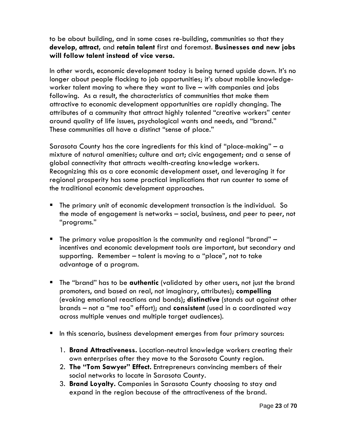to be about building, and in some cases re-building, communities so that they **develop**, **attract,** and **retain talent** first and foremost. **Businesses and new jobs will follow talent instead of vice versa.**

In other words, economic development today is being turned upside down. It's no longer about people flocking to job opportunities; it's about mobile knowledgeworker talent moving to where they want to live – with companies and jobs following. As a result, the characteristics of communities that make them attractive to economic development opportunities are rapidly changing. The attributes of a community that attract highly talented "creative workers" center around quality of life issues, psychological wants and needs, and "brand." These communities all have a distinct "sense of place."

Sarasota County has the core ingredients for this kind of "place-making" – a mixture of natural amenities; culture and art; civic engagement; and a sense of global connectivity that attracts wealth-creating knowledge workers. Recognizing this as a core economic development asset, and leveraging it for regional prosperity has some practical implications that run counter to some of the traditional economic development approaches.

- The primary unit of economic development transaction is the individual. So the mode of engagement is networks – social, business, and peer to peer, not "programs."
- The primary value proposition is the community and regional "brand"  $$ incentives and economic development tools are important, but secondary and supporting. Remember – talent is moving to a "place", not to take advantage of a program.
- The "brand" has to be **authentic** (validated by other users, not just the brand promoters, and based on real, not imaginary, attributes); **compelling** (evoking emotional reactions and bonds); **distinctive** (stands out against other brands – not a "me too" effort); and **consistent** (used in a coordinated way across multiple venues and multiple target audiences).
- In this scenario, business development emerges from four primary sources:
	- 1. **Brand Attractiveness.** Location-neutral knowledge workers creating their own enterprises after they move to the Sarasota County region.
	- 2. **The "Tom Sawyer" Effect.** Entrepreneurs convincing members of their social networks to locate in Sarasota County.
	- 3. **Brand Loyalty.** Companies in Sarasota County choosing to stay and expand in the region because of the attractiveness of the brand.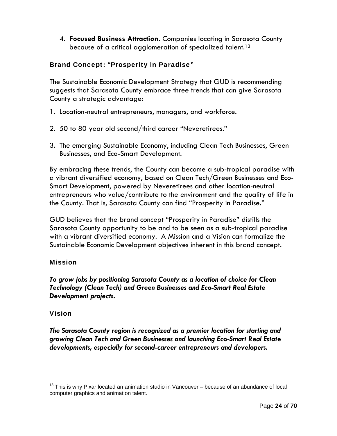4. **Focused Business Attraction.** Companies locating in Sarasota County because of a critical agglomeration of specialized talent.13

# Brand Concept: "Prosperity in Paradise"

The Sustainable Economic Development Strategy that GUD is recommending suggests that Sarasota County embrace three trends that can give Sarasota County a strategic advantage:

- 1. Location-neutral entrepreneurs, managers, and workforce.
- 2. 50 to 80 year old second/third career "Neveretirees."
- 3. The emerging Sustainable Economy, including Clean Tech Businesses, Green Businesses, and Eco-Smart Development.

By embracing these trends, the County can become a sub-tropical paradise with a vibrant diversified economy, based on Clean Tech/Green Businesses and Eco-Smart Development, powered by Neveretirees and other location-neutral entrepreneurs who value/contribute to the environment and the quality of life in the County. That is, Sarasota County can find "Prosperity in Paradise."

GUD believes that the brand concept "Prosperity in Paradise" distills the Sarasota County opportunity to be and to be seen as a sub-tropical paradise with a vibrant diversified economy. A Mission and a Vision can formalize the Sustainable Economic Development objectives inherent in this brand concept.

### Mission

*To grow jobs by positioning Sarasota County as a location of choice for Clean Technology (Clean Tech) and Green Businesses and Eco-Smart Real Estate Development projects.* 

### Vision

*The Sarasota County region is recognized as a premier location for starting and growing Clean Tech and Green Businesses and launching Eco-Smart Real Estate developments, especially for second-career entrepreneurs and developers.*

  $13$  This is why Pixar located an animation studio in Vancouver – because of an abundance of local computer graphics and animation talent.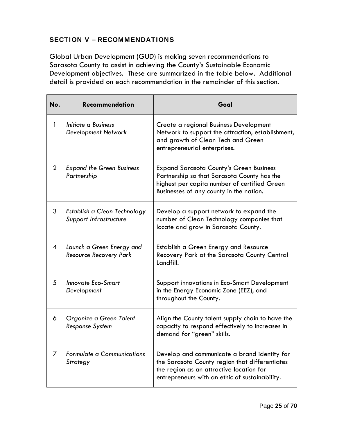### SECTION V – RECOMMENDATIONS

Global Urban Development (GUD) is making seven recommendations to Sarasota County to assist in achieving the County's Sustainable Economic Development objectives. These are summarized in the table below. Additional detail is provided on each recommendation in the remainder of this section.

| No.                       | <b>Recommendation</b>                                      | Goal                                                                                                                                                                                         |
|---------------------------|------------------------------------------------------------|----------------------------------------------------------------------------------------------------------------------------------------------------------------------------------------------|
| 1                         | Initiate a Business<br>Development Network                 | Create a regional Business Development<br>Network to support the attraction, establishment,<br>and growth of Clean Tech and Green<br>entrepreneurial enterprises.                            |
| $\overline{2}$            | <b>Expand the Green Business</b><br>Partnership            | <b>Expand Sarasota County's Green Business</b><br>Partnership so that Sarasota County has the<br>highest per capita number of certified Green<br>Businesses of any county in the nation.     |
| 3                         | Establish a Clean Technology<br>Support Infrastructure     | Develop a support network to expand the<br>number of Clean Technology companies that<br>locate and grow in Sarasota County.                                                                  |
| $\boldsymbol{\varLambda}$ | Launch a Green Energy and<br><b>Resource Recovery Park</b> | Establish a Green Energy and Resource<br>Recovery Park at the Sarasota County Central<br>Landfill.                                                                                           |
| 5                         | <b>Innovate Eco-Smart</b><br>Development                   | Support innovations in Eco-Smart Development<br>in the Energy Economic Zone (EEZ), and<br>throughout the County.                                                                             |
| 6                         | Organize a Green Talent<br><b>Response System</b>          | Align the County talent supply chain to have the<br>capacity to respond effectively to increases in<br>demand for "green" skills.                                                            |
| 7                         | <b>Formulate a Communications</b><br>Strategy              | Develop and communicate a brand identity for<br>the Sarasota County region that differentiates<br>the region as an attractive location for<br>entrepreneurs with an ethic of sustainability. |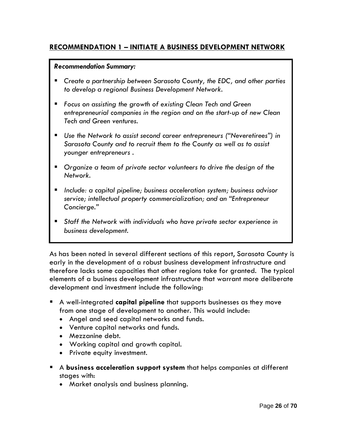### **RECOMMENDATION 1 – INITIATE A BUSINESS DEVELOPMENT NETWORK**

### *Recommendation Summary:*

- *Create a partnership between Sarasota County, the EDC, and other parties to develop a regional Business Development Network.*
- *Focus on assisting the growth of existing Clean Tech and Green entrepreneurial companies in the region and on the start-up of new Clean Tech and Green ventures.*
- *Use the Network to assist second career entrepreneurs ("Neveretirees") in Sarasota County and to recruit them to the County as well as to assist younger entrepreneurs .*
- *Organize a team of private sector volunteers to drive the design of the Network.*
- *Include: a capital pipeline; business acceleration system; business advisor service; intellectual property commercialization; and an "Entrepreneur Concierge."*
- *Staff the Network with individuals who have private sector experience in business development.*

As has been noted in several different sections of this report, Sarasota County is early in the development of a robust business development infrastructure and therefore lacks some capacities that other regions take for granted. The typical elements of a business development infrastructure that warrant more deliberate development and investment include the following:

- A well-integrated **capital pipeline** that supports businesses as they move from one stage of development to another. This would include:
	- Angel and seed capital networks and funds.
	- Venture capital networks and funds.
	- Mezzanine debt.
	- Working capital and growth capital.
	- Private equity investment.
- A **business acceleration support system** that helps companies at different stages with:
	- Market analysis and business planning.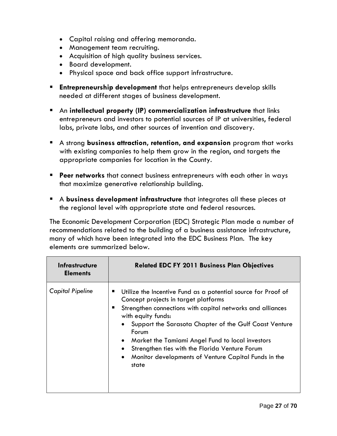- Capital raising and offering memoranda.
- Management team recruiting.
- Acquisition of high quality business services.
- Board development.
- Physical space and back office support infrastructure.
- **Entrepreneurship development** that helps entrepreneurs develop skills needed at different stages of business development.
- An **intellectual property (IP) commercialization infrastructure** that links entrepreneurs and investors to potential sources of IP at universities, federal labs, private labs, and other sources of invention and discovery.
- A strong **business attraction, retention, and expansion** program that works with existing companies to help them grow in the region, and targets the appropriate companies for location in the County.
- **Peer networks** that connect business entrepreneurs with each other in ways that maximize generative relationship building.
- A **business development infrastructure** that integrates all these pieces at the regional level with appropriate state and federal resources.

The Economic Development Corporation (EDC) Strategic Plan made a number of recommendations related to the building of a business assistance infrastructure, many of which have been integrated into the EDC Business Plan. The key elements are summarized below.

| <b>Infrastructure</b><br><b>Elements</b> | <b>Related EDC FY 2011 Business Plan Objectives</b>                                                                                                                                                                                                                                                                                                                                                                                                   |
|------------------------------------------|-------------------------------------------------------------------------------------------------------------------------------------------------------------------------------------------------------------------------------------------------------------------------------------------------------------------------------------------------------------------------------------------------------------------------------------------------------|
| <b>Capital Pipeline</b>                  | Utilize the Incentive Fund as a potential source for Proof of<br>п<br>Concept projects in target platforms<br>Strengthen connections with capital networks and alliances<br>with equity funds:<br>Support the Sarasota Chapter of the Gulf Coast Venture<br>Forum<br>Market the Tamiami Angel Fund to local investors<br>$\bullet$<br>Strengthen ties with the Florida Venture Forum<br>Monitor developments of Venture Capital Funds in the<br>state |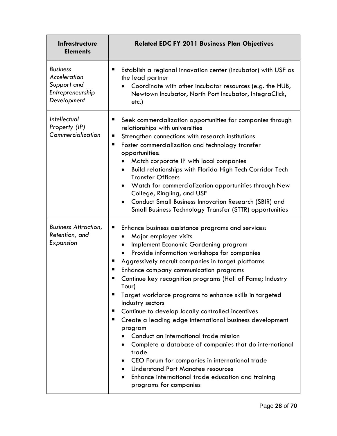| <b>Infrastructure</b><br><b>Elements</b>                                                 | <b>Related EDC FY 2011 Business Plan Objectives</b>                                                                                                                                                                                                                                                                                                                                                                                                                                                                                                                                                                                                                                                                                                                                                                                                                                                            |
|------------------------------------------------------------------------------------------|----------------------------------------------------------------------------------------------------------------------------------------------------------------------------------------------------------------------------------------------------------------------------------------------------------------------------------------------------------------------------------------------------------------------------------------------------------------------------------------------------------------------------------------------------------------------------------------------------------------------------------------------------------------------------------------------------------------------------------------------------------------------------------------------------------------------------------------------------------------------------------------------------------------|
| <b>Business</b><br><b>Acceleration</b><br>Support and<br>Entrepreneurship<br>Development | Establish a regional innovation center (incubator) with USF as<br>п<br>the lead partner<br>Coordinate with other incubator resources (e.g. the HUB,<br>Newtown Incubator, North Port Incubator, IntegraClick,<br>etc.)                                                                                                                                                                                                                                                                                                                                                                                                                                                                                                                                                                                                                                                                                         |
| <b>Intellectual</b><br>Property (IP)<br>Commercialization                                | Seek commercialization opportunities for companies through<br>п<br>relationships with universities<br>Strengthen connections with research institutions<br>ш<br>Foster commercialization and technology transfer<br>п<br>opportunities:<br>Match corporate IP with local companies<br>Build relationships with Florida High Tech Corridor Tech<br>$\bullet$<br><b>Transfer Officers</b><br>Watch for commercialization opportunities through New<br>$\bullet$<br>College, Ringling, and USF<br><b>Conduct Small Business Innovation Research (SBIR) and</b><br>$\bullet$<br><b>Small Business Technology Transfer (STTR) opportunities</b>                                                                                                                                                                                                                                                                     |
| <b>Business Attraction,</b><br>Retention, and<br>Expansion                               | ш<br>Enhance business assistance programs and services:<br>Major employer visits<br>Implement Economic Gardening program<br>Provide information workshops for companies<br>Aggressively recruit companies in target platforms<br>п<br>Enhance company communication programs<br>Continue key recognition programs (Hall of Fame; Industry<br>Tour)<br>Target workforce programs to enhance skills in targeted<br>п<br>industry sectors<br>Continue to develop locally controlled incentives<br>п<br>Create a leading edge international business development<br>п<br>program<br>Conduct an international trade mission<br>Complete a database of companies that do international<br>trade<br>CEO Forum for companies in international trade<br>$\bullet$<br><b>Understand Port Manatee resources</b><br>$\bullet$<br>Enhance international trade education and training<br>$\bullet$<br>programs for companies |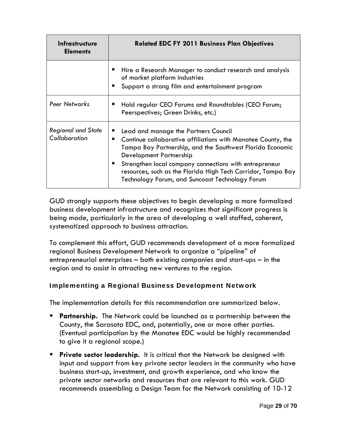| <b>Infrastructure</b><br><b>Elements</b>   | <b>Related EDC FY 2011 Business Plan Objectives</b>                                                                                                                                                                                                                                                                                                                                 |  |
|--------------------------------------------|-------------------------------------------------------------------------------------------------------------------------------------------------------------------------------------------------------------------------------------------------------------------------------------------------------------------------------------------------------------------------------------|--|
|                                            | Hire a Research Manager to conduct research and analysis<br>of market platform industries<br>Support a strong film and entertainment program<br>■                                                                                                                                                                                                                                   |  |
| Peer Networks                              | Hold regular CEO Forums and Roundtables (CEO Forum;<br>п<br>Peerspectives; Green Drinks, etc.)                                                                                                                                                                                                                                                                                      |  |
| <b>Regional and State</b><br>Collaboration | Lead and manage the Partners Council<br>Continue collaborative affiliations with Manatee County, the<br>■<br>Tampa Bay Partnership, and the Southwest Florida Economic<br>Development Partnership<br>Strengthen local company connections with entrepreneur<br>■<br>resources, such as the Florida High Tech Corridor, Tampa Bay<br>Technology Forum, and Suncoast Technology Forum |  |

GUD strongly supports these objectives to begin developing a more formalized business development infrastructure and recognizes that significant progress is being made, particularly in the area of developing a well staffed, coherent, systematized approach to business attraction.

To complement this effort, GUD recommends development of a more formalized regional Business Development Network to organize a "pipeline" of entrepreneurial enterprises – both existing companies and start-ups – in the region and to assist in attracting new ventures to the region.

# Implementing a Regional Business Development Network

The implementation details for this recommendation are summarized below.

- **Partnership.** The Network could be launched as a partnership between the County, the Sarasota EDC, and, potentially, one or more other parties. (Eventual participation by the Manatee EDC would be highly recommended to give it a regional scope.)
- **Private sector leadership.** It is critical that the Network be designed with input and support from key private sector leaders in the community who have business start-up, investment, and growth experience, and who know the private sector networks and resources that are relevant to this work. GUD recommends assembling a Design Team for the Network consisting of 10-12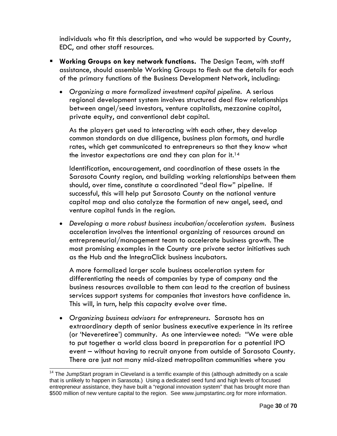individuals who fit this description, and who would be supported by County, EDC, and other staff resources.

- **Working Groups on key network functions.** The Design Team, with staff assistance, should assemble Working Groups to flesh out the details for each of the primary functions of the Business Development Network, including:
	- *Organizing a more formalized investment capital pipeline.* A serious regional development system involves structured deal flow relationships between angel/seed investors, venture capitalists, mezzanine capital, private equity, and conventional debt capital.

As the players get used to interacting with each other, they develop common standards on due diligence, business plan formats, and hurdle rates, which get communicated to entrepreneurs so that they know what the investor expectations are and they can plan for it.<sup>14</sup>

Identification, encouragement, and coordination of these assets in the Sarasota County region, and building working relationships between them should, over time, constitute a coordinated "deal flow" pipeline. If successful, this will help put Sarasota County on the national venture capital map and also catalyze the formation of new angel, seed, and venture capital funds in the region.

 *Developing a more robust business incubation/acceleration system.* Business acceleration involves the intentional organizing of resources around an entrepreneurial/management team to accelerate business growth. The most promising examples in the County are private sector initiatives such as the Hub and the IntegraClick business incubators.

A more formalized larger scale business acceleration system for differentiating the needs of companies by type of company and the business resources available to them can lead to the creation of business services support systems for companies that investors have confidence in. This will, in turn, help this capacity evolve over time.

 *Organizing business advisors for entrepreneurs.* Sarasota has an extraordinary depth of senior business executive experience in its retiree (or 'Neveretiree') community. As one interviewee noted: "We were able to put together a world class board in preparation for a potential IPO event – without having to recruit anyone from outside of Sarasota County. There are just not many mid-sized metropolitan communities where you

<sup>&</sup>lt;sup>14</sup> The JumpStart program in Cleveland is a terrific example of this (although admittedly on a scale that is unlikely to happen in Sarasota.) Using a dedicated seed fund and high levels of focused entrepreneur assistance, they have built a "regional innovation system" that has brought more than \$500 million of new venture capital to the region. See www.jumpstartinc.org for more information.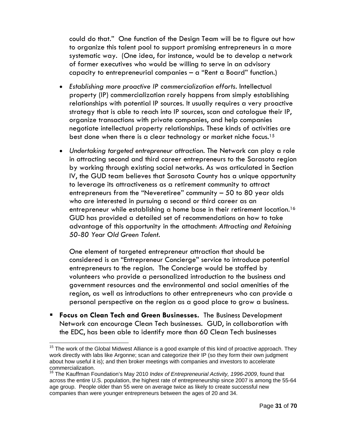could do that." One function of the Design Team will be to figure out how to organize this talent pool to support promising entrepreneurs in a more systematic way. (One idea, for instance, would be to develop a network of former executives who would be willing to serve in an advisory capacity to entrepreneurial companies – a "Rent a Board" function.)

- *Establishing more proactive IP commercialization efforts.* Intellectual property (IP) commercialization rarely happens from simply establishing relationships with potential IP sources. It usually requires a very proactive strategy that is able to reach into IP sources, scan and catalogue their IP, organize transactions with private companies, and help companies negotiate intellectual property relationships. These kinds of activities are best done when there is a clear technology or market niche focus.<sup>15</sup>
- *Undertaking targeted entrepreneur attraction.* The Network can play a role in attracting second and third career entrepreneurs to the Sarasota region by working through existing social networks. As was articulated in Section IV, the GUD team believes that Sarasota County has a unique opportunity to leverage its attractiveness as a retirement community to attract entrepreneurs from the "Neveretiree" community – 50 to 80 year olds who are interested in pursuing a second or third career as an entrepreneur while establishing a home base in their retirement location.<sup>16</sup> GUD has provided a detailed set of recommendations on how to take advantage of this opportunity in the attachment: *Attracting and Retaining 50-80 Year Old Green Talent*.

One element of targeted entrepreneur attraction that should be considered is an "Entrepreneur Concierge" service to introduce potential entrepreneurs to the region. The Concierge would be staffed by volunteers who provide a personalized introduction to the business and government resources and the environmental and social amenities of the region, as well as introductions to other entrepreneurs who can provide a personal perspective on the region as a good place to grow a business.

 **Focus on Clean Tech and Green Businesses.** The Business Development Network can encourage Clean Tech businesses. GUD, in collaboration with the EDC, has been able to identify more than 60 Clean Tech businesses

 $15$  The work of the Global Midwest Alliance is a good example of this kind of proactive approach. They work directly with labs like Argonne; scan and categorize their IP (so they form their own judgment about how useful it is); and then broker meetings with companies and investors to accelerate commercialization.

<sup>16</sup> The Kauffman Foundation's May 2010 *Index of Entrepreneurial Activity, 1996-2009*, found that across the entire U.S. population, the highest rate of entrepreneurship since 2007 is among the 55-64 age group. People older than 55 were on average twice as likely to create successful new companies than were younger entrepreneurs between the ages of 20 and 34.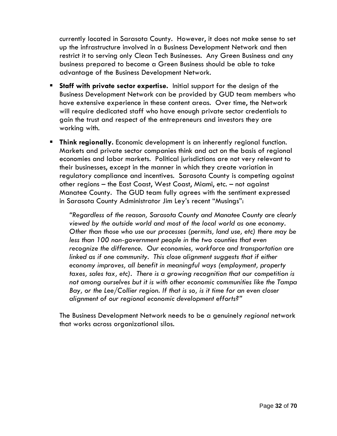currently located in Sarasota County. However, it does not make sense to set up the infrastructure involved in a Business Development Network and then restrict it to serving only Clean Tech Businesses. Any Green Business and any business prepared to become a Green Business should be able to take advantage of the Business Development Network.

- **Staff with private sector expertise.** Initial support for the design of the Business Development Network can be provided by GUD team members who have extensive experience in these content areas. Over time, the Network will require dedicated staff who have enough private sector credentials to gain the trust and respect of the entrepreneurs and investors they are working with.
- **Think regionally.** Economic development is an inherently regional function. Markets and private sector companies think and act on the basis of regional economies and labor markets. Political jurisdictions are not very relevant to their businesses, except in the manner in which they create variation in regulatory compliance and incentives. Sarasota County is competing against other regions – the East Coast, West Coast, Miami, etc. – not against Manatee County. The GUD team fully agrees with the sentiment expressed in Sarasota County Administrator Jim Ley's recent "Musings":

*"Regardless of the reason, Sarasota County and Manatee County are clearly viewed by the outside world and most of the local world as one economy. Other than those who use our processes (permits, land use, etc) there may be less than 100 non-government people in the two counties that even recognize the difference. Our economies, workforce and transportation are linked as if one community. This close alignment suggests that if either economy improves, all benefit in meaningful ways (employment, property taxes, sales tax, etc). There is a growing recognition that our competition is not among ourselves but it is with other economic communities like the Tampa Bay, or the Lee/Collier region. If that is so, is it time for an even closer alignment of our regional economic development efforts?"* 

The Business Development Network needs to be a genuinely *regional* network that works across organizational silos.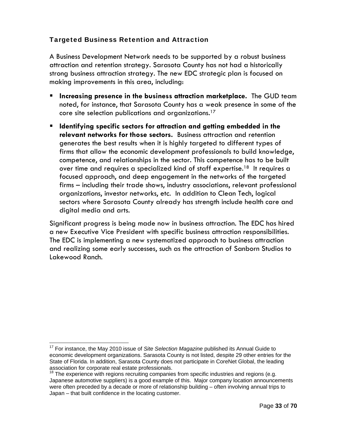### Targeted Business Retention and Attraction

A Business Development Network needs to be supported by a robust business attraction and retention strategy. Sarasota County has not had a historically strong business attraction strategy. The new EDC strategic plan is focused on making improvements in this area, including:

- **Increasing presence in the business attraction marketplace.** The GUD team noted, for instance, that Sarasota County has a weak presence in some of the core site selection publications and organizations.17
- **Identifying specific sectors for attraction and getting embedded in the relevant networks for those sectors.** Business attraction and retention generates the best results when it is highly targeted to different types of firms that allow the economic development professionals to build knowledge, competence, and relationships in the sector. This competence has to be built over time and requires a specialized kind of staff expertise.<sup>18</sup> It requires a focused approach, and deep engagement in the networks of the targeted firms – including their trade shows, industry associations, relevant professional organizations, investor networks, etc. In addition to Clean Tech, logical sectors where Sarasota County already has strength include health care and digital media and arts.

Significant progress is being made now in business attraction. The EDC has hired a new Executive Vice President with specific business attraction responsibilities. The EDC is implementing a new systematized approach to business attraction and realizing some early successes, such as the attraction of Sanborn Studios to Lakewood Ranch.

<sup>&</sup>lt;sup>17</sup> For instance, the May 2010 issue of Site Selection Magazine published its Annual Guide to economic development organizations. Sarasota County is not listed, despite 29 other entries for the State of Florida. In addition, Sarasota County does not participate in CoreNet Global, the leading association for corporate real estate professionals.

 $18$  The experience with regions recruiting companies from specific industries and regions (e.g. Japanese automotive suppliers) is a good example of this. Major company location announcements were often preceded by a decade or more of relationship building – often involving annual trips to Japan – that built confidence in the locating customer.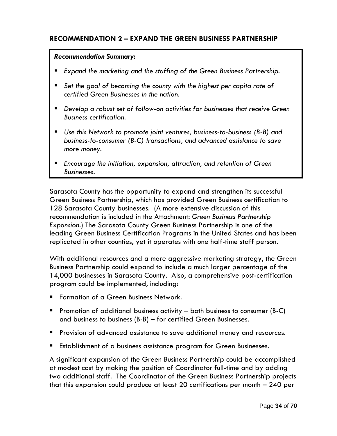# **RECOMMENDATION 2 – EXPAND THE GREEN BUSINESS PARTNERSHIP**

#### *Recommendation Summary:*

- *Expand the marketing and the staffing of the Green Business Partnership.*
- *Set the goal of becoming the county with the highest per capita rate of certified Green Businesses in the nation.*
- *Develop a robust set of follow-on activities for businesses that receive Green Business certification.*
- *Use this Network to promote joint ventures, business-to-business (B-B) and business-to-consumer (B-C) transactions, and advanced assistance to save more money.*
- *Encourage the initiation, expansion, attraction, and retention of Green Businesses.*

Sarasota County has the opportunity to expand and strengthen its successful Green Business Partnership, which has provided Green Business certification to 128 Sarasota County businesses. (A more extensive discussion of this recommendation is included in the Attachment: *Green Business Partnership Expansion*.) The Sarasota County Green Business Partnership is one of the leading Green Business Certification Programs in the United States and has been replicated in other counties, yet it operates with one half-time staff person.

With additional resources and a more aggressive marketing strategy, the Green Business Partnership could expand to include a much larger percentage of the 14,000 businesses in Sarasota County. Also, a comprehensive post-certification program could be implemented, including:

- **F** Formation of a Green Business Network.
- **Promotion of additional business activity both business to consumer (B-C)** and business to business (B-B) – for certified Green Businesses.
- Provision of advanced assistance to save additional money and resources.
- **Establishment of a business assistance program for Green Businesses.**

A significant expansion of the Green Business Partnership could be accomplished at modest cost by making the position of Coordinator full-time and by adding two additional staff. The Coordinator of the Green Business Partnership projects that this expansion could produce at least 20 certifications per month – 240 per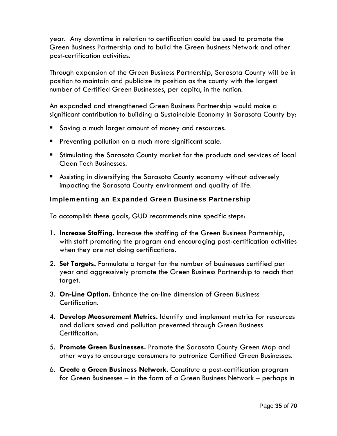year. Any downtime in relation to certification could be used to promote the Green Business Partnership and to build the Green Business Network and other post-certification activities.

Through expansion of the Green Business Partnership, Sarasota County will be in position to maintain and publicize its position as the county with the largest number of Certified Green Businesses, per capita, in the nation.

An expanded and strengthened Green Business Partnership would make a significant contribution to building a Sustainable Economy in Sarasota County by:

- Saving a much larger amount of money and resources.
- **Preventing pollution on a much more significant scale.**
- Stimulating the Sarasota County market for the products and services of local Clean Tech Businesses.
- Assisting in diversifying the Sarasota County economy without adversely impacting the Sarasota County environment and quality of life.

### Implementing an Expanded Green Business Partnership

To accomplish these goals, GUD recommends nine specific steps:

- 1. **Increase Staffing.** Increase the staffing of the Green Business Partnership, with staff promoting the program and encouraging post-certification activities when they are not doing certifications.
- 2. **Set Targets.** Formulate a target for the number of businesses certified per year and aggressively promote the Green Business Partnership to reach that target.
- 3. **On-Line Option.** Enhance the on-line dimension of Green Business Certification.
- 4. **Develop Measurement Metrics.** Identify and implement metrics for resources and dollars saved and pollution prevented through Green Business Certification.
- 5. **Promote Green Businesses.** Promote the Sarasota County Green Map and other ways to encourage consumers to patronize Certified Green Businesses.
- 6. **Create a Green Business Network.** Constitute a post-certification program for Green Businesses – in the form of a Green Business Network – perhaps in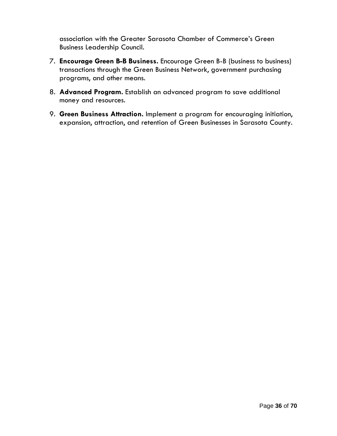association with the Greater Sarasota Chamber of Commerce's Green Business Leadership Council.

- 7. **Encourage Green B-B Business.** Encourage Green B-B (business to business) transactions through the Green Business Network, government purchasing programs, and other means.
- 8. **Advanced Program.** Establish an advanced program to save additional money and resources.
- 9. **Green Business Attraction.** Implement a program for encouraging initiation, expansion, attraction, and retention of Green Businesses in Sarasota County.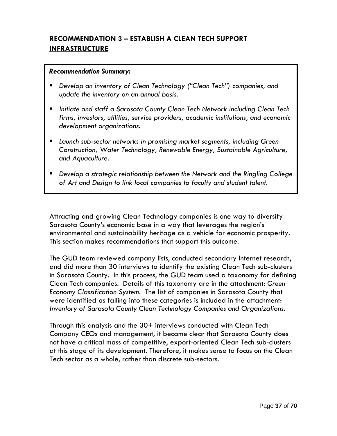# **RECOMMENDATION 3 – ESTABLISH A CLEAN TECH SUPPORT INFRASTRUCTURE**

#### *Recommendation Summary:*

- *Develop an inventory of Clean Technology ("Clean Tech") companies, and update the inventory on an annual basis.*
- *Initiate and staff a Sarasota County Clean Tech Network including Clean Tech firms, investors, utilities, service providers, academic institutions, and economic development organizations.*
- *Launch sub-sector networks in promising market segments, including Green Construction, Water Technology, Renewable Energy, Sustainable Agriculture, and Aquaculture.*
- *Develop a strategic relationship between the Network and the Ringling College of Art and Design to link local companies to faculty and student talent.*

Attracting and growing Clean Technology companies is one way to diversify Sarasota County's economic base in a way that leverages the region's environmental and sustainability heritage as a vehicle for economic prosperity. This section makes recommendations that support this outcome.

The GUD team reviewed company lists, conducted secondary Internet research, and did more than 30 interviews to identify the existing Clean Tech sub-clusters in Sarasota County. In this process, the GUD team used a taxonomy for defining Clean Tech companies. Details of this taxonomy are in the attachment: *Green Economy Classification System.* The list of companies in Sarasota County that were identified as falling into these categories is included in the attachment: *Inventory of Sarasota County Clean Technology Companies and Organizations.* 

Through this analysis and the 30+ interviews conducted with Clean Tech Company CEOs and management, it became clear that Sarasota County does not have a critical mass of competitive, export-oriented Clean Tech sub-clusters at this stage of its development. Therefore, it makes sense to focus on the Clean Tech sector as a whole, rather than discrete sub-sectors.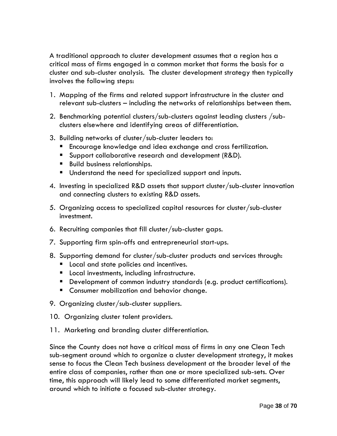A traditional approach to cluster development assumes that a region has a critical mass of firms engaged in a common market that forms the basis for a cluster and sub-cluster analysis. The cluster development strategy then typically involves the following steps:

- 1. Mapping of the firms and related support infrastructure in the cluster and relevant sub-clusters – including the networks of relationships between them.
- 2. Benchmarking potential clusters/sub-clusters against leading clusters /subclusters elsewhere and identifying areas of differentiation.
- 3. Building networks of cluster/sub-cluster leaders to:
	- **Encourage knowledge and idea exchange and cross fertilization.**
	- **Support collaborative research and development (R&D).**
	- **Build business relationships.**
	- **Understand the need for specialized support and inputs.**
- 4. Investing in specialized R&D assets that support cluster/sub-cluster innovation and connecting clusters to existing R&D assets.
- 5. Organizing access to specialized capital resources for cluster/sub-cluster investment.
- 6. Recruiting companies that fill cluster/sub-cluster gaps.
- 7. Supporting firm spin-offs and entrepreneurial start-ups.
- 8. Supporting demand for cluster/sub-cluster products and services through:
	- **Local and state policies and incentives.**
	- **Local investments, including infrastructure.**
	- Development of common industry standards (e.g. product certifications).
	- **E** Consumer mobilization and behavior change.
- 9. Organizing cluster/sub-cluster suppliers.
- 10. Organizing cluster talent providers.
- 11. Marketing and branding cluster differentiation.

Since the County does not have a critical mass of firms in any one Clean Tech sub-segment around which to organize a cluster development strategy, it makes sense to focus the Clean Tech business development at the broader level of the entire class of companies, rather than one or more specialized sub-sets. Over time, this approach will likely lead to some differentiated market segments, around which to initiate a focused sub-cluster strategy.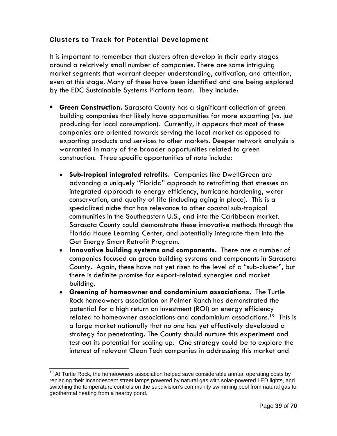### Clusters to Track for Potential Development

It is important to remember that clusters often develop in their early stages around a relatively small number of companies. There are some intriguing market segments that warrant deeper understanding, cultivation, and attention, even at this stage. Many of these have been identified and are being explored by the EDC Sustainable Systems Platform team. They include:

- **Green Construction.** Sarasota County has a significant collection of green building companies that likely have opportunities for more exporting (vs. just producing for local consumption). Currently, it appears that most of these companies are oriented towards serving the local market as opposed to exporting products and services to other markets. Deeper network analysis is warranted in many of the broader opportunities related to green construction. Three specific opportunities of note include:
	- **Sub-tropical integrated retrofits.** Companies like DwellGreen are advancing a uniquely "Florida" approach to retrofitting that stresses an integrated approach to energy efficiency, hurricane hardening, water conservation, and quality of life (including aging in place). This is a specialized niche that has relevance to other coastal sub-tropical communities in the Southeastern U.S., and into the Caribbean market. Sarasota County could demonstrate these innovative methods through the Florida House Learning Center, and potentially integrate them into the Get Energy Smart Retrofit Program.
	- **Innovative building systems and components.** There are a number of companies focused on green building systems and components in Sarasota County. Again, these have not yet risen to the level of a "sub-cluster", but there is definite promise for export-related synergies and market building.
	- **Greening of homeowner and condominium associations.** The Turtle Rock homeowners association on Palmer Ranch has demonstrated the potential for a high return on investment (ROI) on energy efficiency related to homeowner associations and condominium associations.<sup>19</sup> This is a large market nationally that no one has yet effectively developed a strategy for penetrating. The County should nurture this experiment and test out its potential for scaling up. One strategy could be to explore the interest of relevant Clean Tech companies in addressing this market and

 $19$  At Turtle Rock, the homeowners association helped save considerable annual operating costs by replacing their incandescent street lamps powered by natural gas with solar-powered LED lights, and switching the temperature controls on the subdivision's community swimming pool from natural gas to geothermal heating from a nearby pond.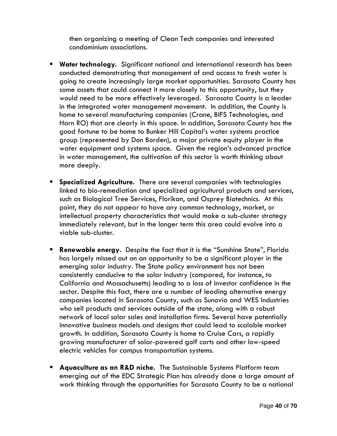then organizing a meeting of Clean Tech companies and interested condominium associations.

- **Water technology.** Significant national and international research has been conducted demonstrating that management of and access to fresh water is going to create increasingly large market opportunities. Sarasota County has some assets that could connect it more closely to this opportunity, but they would need to be more effectively leveraged. Sarasota County is a leader in the integrated water management movement. In addition, the County is home to several manufacturing companies (Crane, BIFS Technologies, and Harn RO) that are clearly in this space. In addition, Sarasota County has the good fortune to be home to Bunker Hill Capital's water systems practice group (represented by Don Borden), a major private equity player in the water equipment and systems space. Given the region's advanced practice in water management, the cultivation of this sector is worth thinking about more deeply.
- **Specialized Agriculture.** There are several companies with technologies linked to bio-remediation and specialized agricultural products and services, such as Biological Tree Services, Florikan, and Osprey Biotechnics. At this point, they do not appear to have any common technology, market, or intellectual property characteristics that would make a sub-cluster strategy immediately relevant, but in the longer term this area could evolve into a viable sub-cluster.
- **Renewable energy.** Despite the fact that it is the "Sunshine State", Florida has largely missed out on an opportunity to be a significant player in the emerging solar industry. The State policy environment has not been consistently conducive to the solar industry (compared, for instance, to California and Massachusetts) leading to a loss of investor confidence in the sector. Despite this fact, there are a number of leading alternative energy companies located in Sarasota County, such as Sunovia and WES Industries who sell products and services outside of the state, along with a robust network of local solar sales and installation firms. Several have potentially innovative business models and designs that could lead to scalable market growth. In addition, Sarasota County is home to Cruise Cars, a rapidly growing manufacturer of solar-powered golf carts and other low-speed electric vehicles for campus transportation systems.
- **Aquaculture as an R&D niche.** The Sustainable Systems Platform team emerging out of the EDC Strategic Plan has already done a large amount of work thinking through the opportunities for Sarasota County to be a national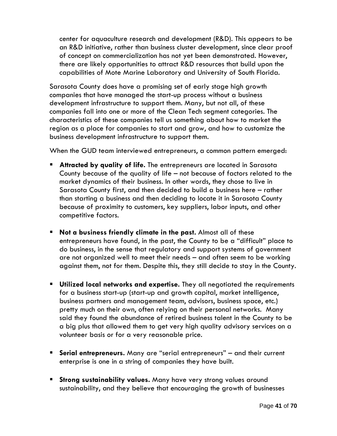center for aquaculture research and development (R&D). This appears to be an R&D initiative, rather than business cluster development, since clear proof of concept on commercialization has not yet been demonstrated. However, there are likely opportunities to attract R&D resources that build upon the capabilities of Mote Marine Laboratory and University of South Florida.

Sarasota County does have a promising set of early stage high growth companies that have managed the start-up process without a business development infrastructure to support them. Many, but not all, of these companies fall into one or more of the Clean Tech segment categories. The characteristics of these companies tell us something about how to market the region as a place for companies to start and grow, and how to customize the business development infrastructure to support them.

When the GUD team interviewed entrepreneurs, a common pattern emerged:

- **Attracted by quality of life.** The entrepreneurs are located in Sarasota County because of the quality of life – not because of factors related to the market dynamics of their business. In other words, they chose to live in Sarasota County first, and then decided to build a business here – rather than starting a business and then deciding to locate it in Sarasota County because of proximity to customers, key suppliers, labor inputs, and other competitive factors.
- **Not a business friendly climate in the past.** Almost all of these entrepreneurs have found, in the past, the County to be a "difficult" place to do business, in the sense that regulatory and support systems of government are not organized well to meet their needs – and often seem to be working against them, not for them. Despite this, they still decide to stay in the County.
- **Utilized local networks and expertise.** They all negotiated the requirements for a business start-up (start-up and growth capital, market intelligence, business partners and management team, advisors, business space, etc.) pretty much on their own, often relying on their personal networks. Many said they found the abundance of retired business talent in the County to be a big plus that allowed them to get very high quality advisory services on a volunteer basis or for a very reasonable price.
- **Serial entrepreneurs.** Many are "serial entrepreneurs" and their current enterprise is one in a string of companies they have built.
- **Strong sustainability values.** Many have very strong values around sustainability, and they believe that encouraging the growth of businesses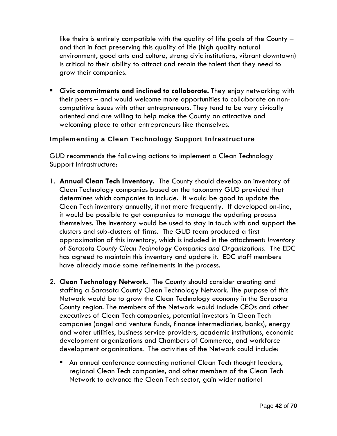like theirs is entirely compatible with the quality of life goals of the County – and that in fact preserving this quality of life (high quality natural environment, good arts and culture, strong civic institutions, vibrant downtown) is critical to their ability to attract and retain the talent that they need to grow their companies.

**EXTE:** Civic commitments and inclined to collaborate. They enjoy networking with their peers – and would welcome more opportunities to collaborate on noncompetitive issues with other entrepreneurs. They tend to be very civically oriented and are willing to help make the County an attractive and welcoming place to other entrepreneurs like themselves.

### Implementing a Clean Technology Support Infrastructure

GUD recommends the following actions to implement a Clean Technology Support Infrastructure:

- 1. **Annual Clean Tech Inventory.** The County should develop an inventory of Clean Technology companies based on the taxonomy GUD provided that determines which companies to include. It would be good to update the Clean Tech inventory annually, if not more frequently. If developed on-line, it would be possible to get companies to manage the updating process themselves. The Inventory would be used to stay in touch with and support the clusters and sub-clusters of firms. The GUD team produced a first approximation of this inventory, which is included in the attachment: *Inventory of Sarasota County Clean Technology Companies and Organizations.* The EDC has agreed to maintain this inventory and update it. EDC staff members have already made some refinements in the process.
- 2. **Clean Technology Network.** The County should consider creating and staffing a Sarasota County Clean Technology Network. The purpose of this Network would be to grow the Clean Technology economy in the Sarasota County region. The members of the Network would include CEOs and other executives of Clean Tech companies, potential investors in Clean Tech companies (angel and venture funds, finance intermediaries, banks), energy and water utilities, business service providers, academic institutions, economic development organizations and Chambers of Commerce, and workforce development organizations. The activities of the Network could include:
	- An annual conference connecting national Clean Tech thought leaders, regional Clean Tech companies, and other members of the Clean Tech Network to advance the Clean Tech sector, gain wider national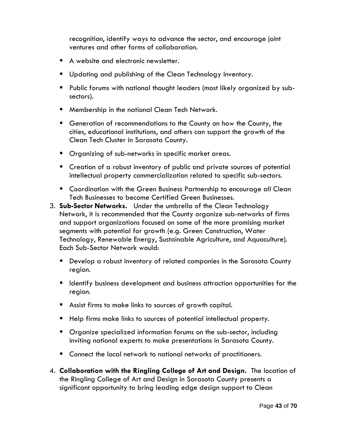recognition, identify ways to advance the sector, and encourage joint ventures and other forms of collaboration.

- A website and electronic newsletter.
- **Updating and publishing of the Clean Technology Inventory.**
- **Public forums with national thought leaders (most likely organized by sub**sectors).
- **Membership in the national Clean Tech Network.**
- Generation of recommendations to the County on how the County, the cities, educational institutions, and others can support the growth of the Clean Tech Cluster in Sarasota County.
- **Dianum** Organizing of sub-networks in specific market areas.
- **E** Creation of a robust inventory of public and private sources of potential intellectual property commercialization related to specific sub-sectors.
- **E** Coordination with the Green Business Partnership to encourage all Clean Tech Businesses to become Certified Green Businesses.
- 3. **Sub-Sector Networks.** Under the umbrella of the Clean Technology Network, it is recommended that the County organize sub-networks of firms and support organizations focused on some of the more promising market segments with potential for growth (e.g. Green Construction, Water Technology, Renewable Energy, Sustainable Agriculture, and Aquaculture). Each Sub-Sector Network would:
	- **Develop a robust inventory of related companies in the Sarasota County** region.
	- Identify business development and business attraction opportunities for the region.
	- Assist firms to make links to sources of growth capital.
	- Help firms make links to sources of potential intellectual property.
	- **•** Organize specialized information forums on the sub-sector, including inviting national experts to make presentations in Sarasota County.
	- **E** Connect the local network to national networks of practitioners.
- 4. **Collaboration with the Ringling College of Art and Design.** The location of the Ringling College of Art and Design in Sarasota County presents a significant opportunity to bring leading edge design support to Clean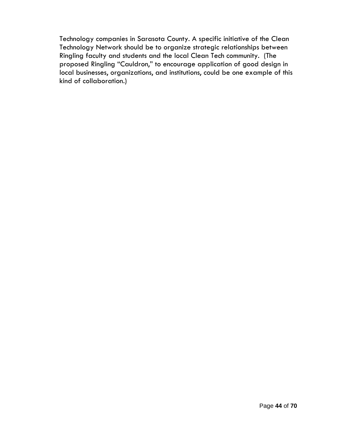Technology companies in Sarasota County. A specific initiative of the Clean Technology Network should be to organize strategic relationships between Ringling faculty and students and the local Clean Tech community. (The proposed Ringling "Cauldron," to encourage application of good design in local businesses, organizations, and institutions, could be one example of this kind of collaboration.)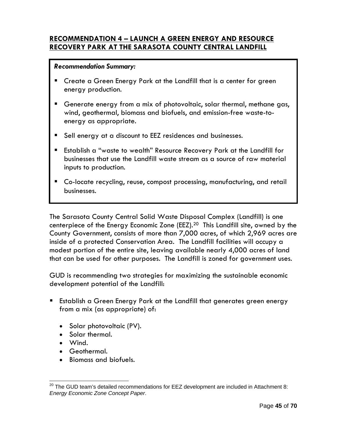### **RECOMMENDATION 4 – LAUNCH A GREEN ENERGY AND RESOURCE RECOVERY PARK AT THE SARASOTA COUNTY CENTRAL LANDFILL**

### *Recommendation Summary:*

- Create a Green Energy Park at the Landfill that is a center for green energy production.
- Generate energy from a mix of photovoltaic, solar thermal, methane gas, wind, geothermal, biomass and biofuels, and emission-free waste-toenergy as appropriate.
- Sell energy at a discount to EEZ residences and businesses.
- Establish a "waste to wealth" Resource Recovery Park at the Landfill for businesses that use the Landfill waste stream as a source of raw material inputs to production.
- Co-locate recycling, reuse, compost processing, manufacturing, and retail businesses.

The Sarasota County Central Solid Waste Disposal Complex (Landfill) is one centerpiece of the Energy Economic Zone (EEZ).20 This Landfill site, owned by the County Government, consists of more than 7,000 acres, of which 2,969 acres are inside of a protected Conservation Area. The Landfill facilities will occupy a modest portion of the entire site, leaving available nearly 4,000 acres of land that can be used for other purposes. The Landfill is zoned for government uses.

GUD is recommending two strategies for maximizing the sustainable economic development potential of the Landfill:

- Establish a Green Energy Park at the Landfill that generates green energy from a mix (as appropriate) of:
	- Solar photovoltaic (PV).
	- Solar thermal.
	- Wind.

- Geothermal.
- Biomass and biofuels.

 $^{20}$  The GUD team's detailed recommendations for EEZ development are included in Attachment 8: *Energy Economic Zone Concept Paper*.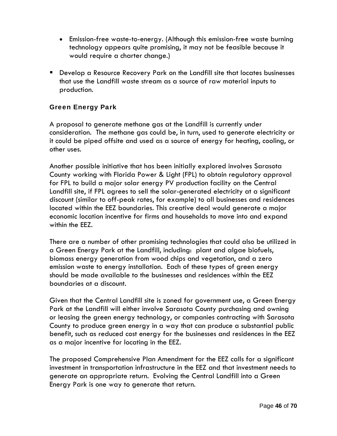- Emission-free waste-to-energy. (Although this emission-free waste burning technology appears quite promising, it may not be feasible because it would require a charter change.)
- Develop a Resource Recovery Park on the Landfill site that locates businesses that use the Landfill waste stream as a source of raw material inputs to production.

### Green Energy Park

A proposal to generate methane gas at the Landfill is currently under consideration. The methane gas could be, in turn, used to generate electricity or it could be piped offsite and used as a source of energy for heating, cooling, or other uses.

Another possible initiative that has been initially explored involves Sarasota County working with Florida Power & Light (FPL) to obtain regulatory approval for FPL to build a major solar energy PV production facility on the Central Landfill site, if FPL agrees to sell the solar-generated electricity at a significant discount (similar to off-peak rates, for example) to all businesses and residences located within the EEZ boundaries. This creative deal would generate a major economic location incentive for firms and households to move into and expand within the EEZ.

There are a number of other promising technologies that could also be utilized in a Green Energy Park at the Landfill, including: plant and algae biofuels, biomass energy generation from wood chips and vegetation, and a zero emission waste to energy installation. Each of these types of green energy should be made available to the businesses and residences within the EEZ boundaries at a discount.

Given that the Central Landfill site is zoned for government use, a Green Energy Park at the Landfill will either involve Sarasota County purchasing and owning or leasing the green energy technology, or companies contracting with Sarasota County to produce green energy in a way that can produce a substantial public benefit, such as reduced cost energy for the businesses and residences in the EEZ as a major incentive for locating in the EEZ.

The proposed Comprehensive Plan Amendment for the EEZ calls for a significant investment in transportation infrastructure in the EEZ and that investment needs to generate an appropriate return. Evolving the Central Landfill into a Green Energy Park is one way to generate that return.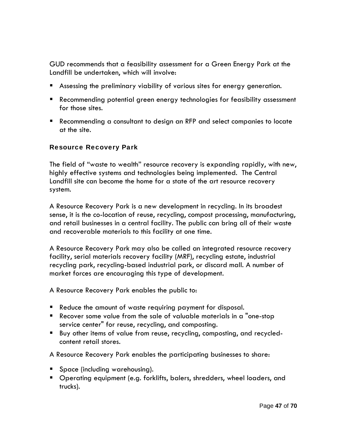GUD recommends that a feasibility assessment for a Green Energy Park at the Landfill be undertaken, which will involve:

- Assessing the preliminary viability of various sites for energy generation.
- Recommending potential green energy technologies for feasibility assessment for those sites.
- Recommending a consultant to design an RFP and select companies to locate at the site.

### Resource Recovery Park

The field of "waste to wealth" resource recovery is expanding rapidly, with new, highly effective systems and technologies being implemented. The Central Landfill site can become the home for a state of the art resource recovery system.

A Resource Recovery Park is a new development in recycling. In its broadest sense, it is the co-location of reuse, recycling, compost processing, manufacturing, and retail businesses in a central facility. The public can bring all of their waste and recoverable materials to this facility at one time.

A Resource Recovery Park may also be called an integrated resource recovery facility, serial materials recovery facility (MRF), recycling estate, industrial recycling park, recycling-based industrial park, or discard mall. A number of market forces are encouraging this type of development.

A Resource Recovery Park enables the public to:

- Reduce the amount of waste requiring payment for disposal.
- Recover some value from the sale of valuable materials in a "one-stop service center" for reuse, recycling, and composting.
- Buy other items of value from reuse, recycling, composting, and recycledcontent retail stores.

A Resource Recovery Park enables the participating businesses to share:

- **Space (including warehousing).**
- **Dearating equipment (e.g. forklifts, balers, shredders, wheel loaders, and I** trucks).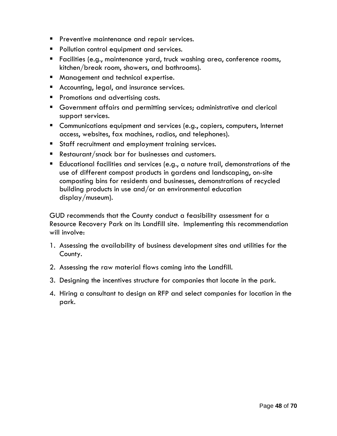- **Preventive maintenance and repair services.**
- **Pollution control equipment and services.**
- Facilities (e.g., maintenance yard, truck washing area, conference rooms, kitchen/break room, showers, and bathrooms).
- **Management and technical expertise.**
- **Accounting, legal, and insurance services.**
- **Promotions and advertising costs.**
- Government affairs and permitting services; administrative and clerical support services.
- **Communications equipment and services (e.g., copiers, computers, Internet** access, websites, fax machines, radios, and telephones).
- **Staff recruitment and employment training services.**
- Restaurant/snack bar for businesses and customers.
- Educational facilities and services (e.g., a nature trail, demonstrations of the use of different compost products in gardens and landscaping, on-site composting bins for residents and businesses, demonstrations of recycled building products in use and/or an environmental education display/museum).

GUD recommends that the County conduct a feasibility assessment for a Resource Recovery Park on its Landfill site. Implementing this recommendation will involve:

- 1. Assessing the availability of business development sites and utilities for the County.
- 2. Assessing the raw material flows coming into the Landfill.
- 3. Designing the incentives structure for companies that locate in the park.
- 4. Hiring a consultant to design an RFP and select companies for location in the park.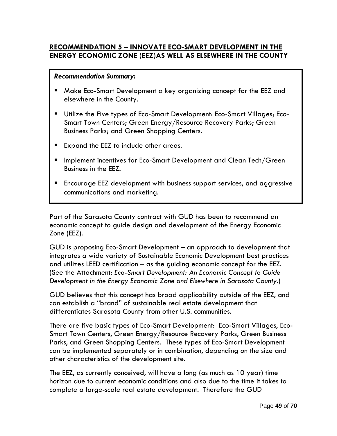### **RECOMMENDATION 5 – INNOVATE ECO-SMART DEVELOPMENT IN THE ENERGY ECONOMIC ZONE (EEZ)AS WELL AS ELSEWHERE IN THE COUNTY**

#### *Recommendation Summary:*

- Make Eco-Smart Development a key organizing concept for the EEZ and elsewhere in the County.
- Utilize the Five types of Eco-Smart Development: Eco-Smart Villages; Eco-Smart Town Centers; Green Energy/Resource Recovery Parks; Green Business Parks; and Green Shopping Centers.
- Expand the EEZ to include other areas.
- Implement incentives for Eco-Smart Development and Clean Tech/Green Business in the EEZ.
- Encourage EEZ development with business support services, and aggressive communications and marketing.

Part of the Sarasota County contract with GUD has been to recommend an economic concept to guide design and development of the Energy Economic Zone (EEZ).

GUD is proposing Eco-Smart Development – an approach to development that integrates a wide variety of Sustainable Economic Development best practices and utilizes LEED certification – as the guiding economic concept for the EEZ. (See the Attachment: *Eco-Smart Development: An Economic Concept to Guide Development in the Energy Economic Zone and Elsewhere in Sarasota County*.)

GUD believes that this concept has broad applicability outside of the EEZ, and can establish a "brand" of sustainable real estate development that differentiates Sarasota County from other U.S. communities.

There are five basic types of Eco-Smart Development: Eco-Smart Villages, Eco-Smart Town Centers, Green Energy/Resource Recovery Parks, Green Business Parks, and Green Shopping Centers. These types of Eco-Smart Development can be implemented separately or in combination, depending on the size and other characteristics of the development site.

The EEZ, as currently conceived, will have a long (as much as 10 year) time horizon due to current economic conditions and also due to the time it takes to complete a large-scale real estate development. Therefore the GUD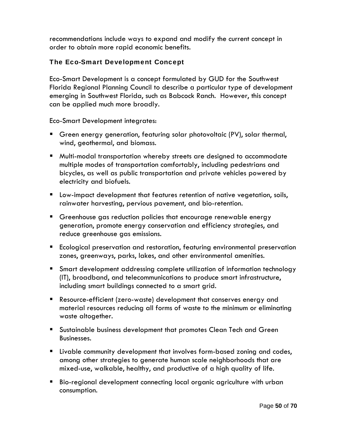recommendations include ways to expand and modify the current concept in order to obtain more rapid economic benefits.

# The Eco-Smart Development Concept

Eco-Smart Development is a concept formulated by GUD for the Southwest Florida Regional Planning Council to describe a particular type of development emerging in Southwest Florida, such as Babcock Ranch. However, this concept can be applied much more broadly.

Eco-Smart Development integrates:

- Green energy generation, featuring solar photovoltaic (PV), solar thermal, wind, geothermal, and biomass.
- Multi-modal transportation whereby streets are designed to accommodate multiple modes of transportation comfortably, including pedestrians and bicycles, as well as public transportation and private vehicles powered by electricity and biofuels.
- Low-impact development that features retention of native vegetation, soils, rainwater harvesting, pervious pavement, and bio-retention.
- Greenhouse gas reduction policies that encourage renewable energy generation, promote energy conservation and efficiency strategies, and reduce greenhouse gas emissions.
- **Ecological preservation and restoration, featuring environmental preservation** zones, greenways, parks, lakes, and other environmental amenities.
- Smart development addressing complete utilization of information technology (IT), broadband, and telecommunications to produce smart infrastructure, including smart buildings connected to a smart grid.
- Resource-efficient (zero-waste) development that conserves energy and material resources reducing all forms of waste to the minimum or eliminating waste altogether.
- Sustainable business development that promotes Clean Tech and Green Businesses.
- Livable community development that involves form-based zoning and codes, among other strategies to generate human scale neighborhoods that are mixed-use, walkable, healthy, and productive of a high quality of life.
- Bio-regional development connecting local organic agriculture with urban consumption.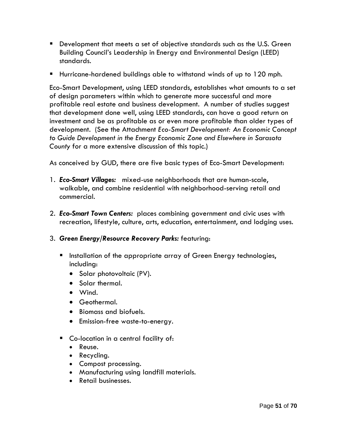- Development that meets a set of objective standards such as the U.S. Green Building Council's Leadership in Energy and Environmental Design (LEED) standards.
- Hurricane-hardened buildings able to withstand winds of up to 120 mph.

Eco-Smart Development, using LEED standards, establishes what amounts to a set of design parameters within which to generate more successful and more profitable real estate and business development. A number of studies suggest that development done well, using LEED standards, can have a good return on investment and be as profitable as or even more profitable than older types of development. (See the Attachment *Eco-Smart Development: An Economic Concept to Guide Development in the Energy Economic Zone and Elsewhere in Sarasota County* for a more extensive discussion of this topic.)

As conceived by GUD, there are five basic types of Eco-Smart Development:

- 1. *Eco-Smart Villages:* mixed-use neighborhoods that are human-scale, walkable, and combine residential with neighborhood-serving retail and commercial.
- 2. *Eco-Smart Town Centers:* places combining government and civic uses with recreation, lifestyle, culture, arts, education, entertainment, and lodging uses.

### 3. *Green Energy/Resource Recovery Parks:* featuring:

- **Installation of the appropriate array of Green Energy technologies,** including:
	- Solar photovoltaic (PV).
	- Solar thermal.
	- Wind.
	- Geothermal.
	- Biomass and biofuels.
	- Emission-free waste-to-energy.
- Co-location in a central facility of:
	- Reuse.
	- Recycling.
	- Compost processing.
	- Manufacturing using landfill materials.
	- Retail businesses.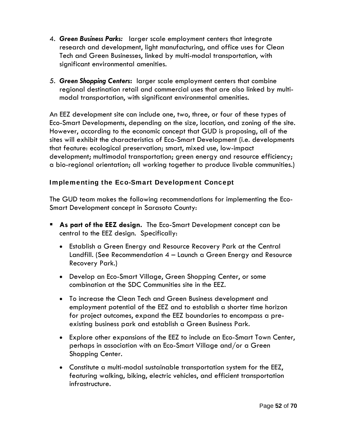- 4. *Green Business Parks:* larger scale employment centers that integrate research and development, light manufacturing, and office uses for Clean Tech and Green Businesses, linked by multi-modal transportation, with significant environmental amenities.
- *5. Green Shopping Centers***:** larger scale employment centers that combine regional destination retail and commercial uses that are also linked by multimodal transportation, with significant environmental amenities.

An EEZ development site can include one, two, three, or four of these types of Eco-Smart Developments, depending on the size, location, and zoning of the site. However, according to the economic concept that GUD is proposing, all of the sites will exhibit the characteristics of Eco-Smart Development (i.e. developments that feature: ecological preservation; smart, mixed use, low-impact development; multimodal transportation; green energy and resource efficiency; a bio-regional orientation; all working together to produce livable communities.)

### Implementing the Eco-Smart Development Concept

The GUD team makes the following recommendations for implementing the Eco-Smart Development concept in Sarasota County:

- **As part of the EEZ design.** The Eco-Smart Development concept can be central to the EEZ design. Specifically:
	- Establish a Green Energy and Resource Recovery Park at the Central Landfill. (See Recommendation 4 – Launch a Green Energy and Resource Recovery Park.)
	- Develop an Eco-Smart Village, Green Shopping Center, or some combination at the SDC Communities site in the EEZ.
	- To increase the Clean Tech and Green Business development and employment potential of the EEZ and to establish a shorter time horizon for project outcomes, expand the EEZ boundaries to encompass a preexisting business park and establish a Green Business Park.
	- Explore other expansions of the EEZ to include an Eco-Smart Town Center, perhaps in association with an Eco-Smart Village and/or a Green Shopping Center.
	- Constitute a multi-modal sustainable transportation system for the EEZ, featuring walking, biking, electric vehicles, and efficient transportation infrastructure.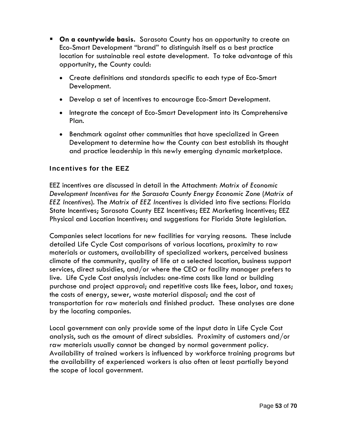- **On a countywide basis.** Sarasota County has an opportunity to create an Eco-Smart Development "brand" to distinguish itself as a best practice location for sustainable real estate development. To take advantage of this opportunity, the County could:
	- Create definitions and standards specific to each type of Eco-Smart Development.
	- Develop a set of incentives to encourage Eco-Smart Development.
	- Integrate the concept of Eco-Smart Development into its Comprehensive Plan.
	- Benchmark against other communities that have specialized in Green Development to determine how the County can best establish its thought and practice leadership in this newly emerging dynamic marketplace.

### Incentives for the EEZ

EEZ incentives are discussed in detail in the Attachment: *Matrix of Economic Development Incentives for the Sarasota County Energy Economic Zone* (*Matrix of EEZ Incentive*s). The *Matrix of EEZ Incentives* is divided into five sections: Florida State Incentives; Sarasota County EEZ Incentives; EEZ Marketing Incentives; EEZ Physical and Location Incentives; and suggestions for Florida State legislation.

Companies select locations for new facilities for varying reasons. These include detailed Life Cycle Cost comparisons of various locations, proximity to raw materials or customers, availability of specialized workers, perceived business climate of the community, quality of life at a selected location, business support services, direct subsidies, and/or where the CEO or facility manager prefers to live. Life Cycle Cost analysis includes: one-time costs like land or building purchase and project approval; and repetitive costs like fees, labor, and taxes; the costs of energy, sewer, waste material disposal; and the cost of transportation for raw materials and finished product. These analyses are done by the locating companies.

Local government can only provide some of the input data in Life Cycle Cost analysis, such as the amount of direct subsidies. Proximity of customers and/or raw materials usually cannot be changed by normal government policy. Availability of trained workers is influenced by workforce training programs but the availability of experienced workers is also often at least partially beyond the scope of local government.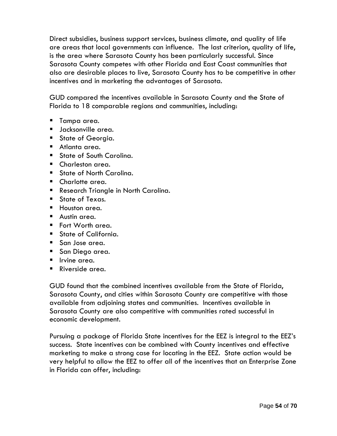Direct subsidies, business support services, business climate, and quality of life are areas that local governments can influence. The last criterion, quality of life, is the area where Sarasota County has been particularly successful. Since Sarasota County competes with other Florida and East Coast communities that also are desirable places to live, Sarasota County has to be competitive in other incentives and in marketing the advantages of Sarasota.

GUD compared the incentives available in Sarasota County and the State of Florida to 18 comparable regions and communities, including:

- **Tampa area.**
- $\blacksquare$  Jacksonville area.
- **State of Georgia.**
- Atlanta area.
- **State of South Carolina.**
- Charleston area.
- **State of North Carolina.**
- **Charlotte area.**
- **Research Triangle in North Carolina.**
- State of Texas.
- **Houston area.**
- **Austin area.**
- Fort Worth area.
- State of California.
- San Jose area.
- **San Diego area.**
- **I** Irvine area.
- Riverside area.

GUD found that the combined incentives available from the State of Florida, Sarasota County, and cities within Sarasota County are competitive with those available from adjoining states and communities. Incentives available in Sarasota County are also competitive with communities rated successful in economic development.

Pursuing a package of Florida State incentives for the EEZ is integral to the EEZ's success. State incentives can be combined with County incentives and effective marketing to make a strong case for locating in the EEZ. State action would be very helpful to allow the EEZ to offer all of the incentives that an Enterprise Zone in Florida can offer, including: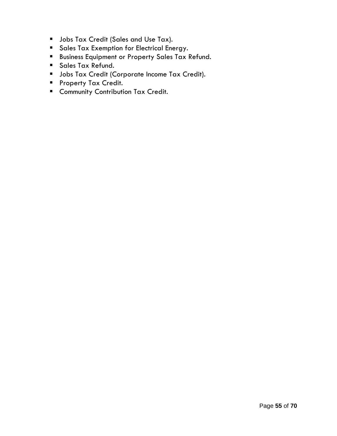- **Jobs Tax Credit (Sales and Use Tax).**
- **Sales Tax Exemption for Electrical Energy.**
- **Business Equipment or Property Sales Tax Refund.**
- **Sales Tax Refund.**
- **Jobs Tax Credit (Corporate Income Tax Credit).**
- **Property Tax Credit.**
- **E** Community Contribution Tax Credit.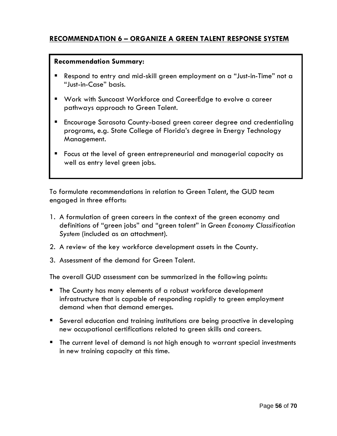# **RECOMMENDATION 6 – ORGANIZE A GREEN TALENT RESPONSE SYSTEM**

#### **Recommendation Summary:**

- Respond to entry and mid-skill green employment on a "Just-in-Time" not a "Just-in-Case" basis.
- Work with Suncoast Workforce and CareerEdge to evolve a career pathways approach to Green Talent.
- Encourage Sarasota County-based green career degree and credentialing programs, e.g. State College of Florida's degree in Energy Technology Management.
- Focus at the level of green entrepreneurial and managerial capacity as well as entry level green jobs.

To formulate recommendations in relation to Green Talent, the GUD team engaged in three efforts:

- 1. A formulation of green careers in the context of the green economy and definitions of "green jobs" and "green talent" in *Green Economy Classification System* (included as an attachment).
- 2. A review of the key workforce development assets in the County.
- 3. Assessment of the demand for Green Talent.

The overall GUD assessment can be summarized in the following points:

- **The County has many elements of a robust workforce development** infrastructure that is capable of responding rapidly to green employment demand when that demand emerges.
- Several education and training institutions are being proactive in developing new occupational certifications related to green skills and careers.
- The current level of demand is not high enough to warrant special investments in new training capacity at this time.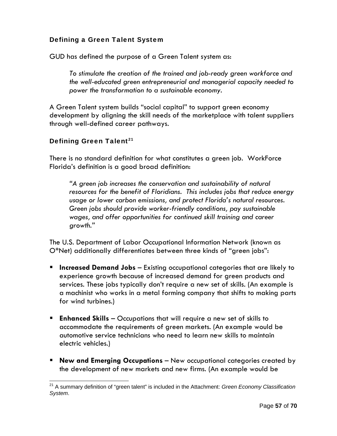# Defining a Green Talent System

GUD has defined the purpose of a Green Talent system as:

*To stimulate the creation of the trained and job-ready green workforce and the well-educated green entrepreneurial and managerial capacity needed to power the transformation to a sustainable economy.*

A Green Talent system builds "social capital" to support green economy development by aligning the skill needs of the marketplace with talent suppliers through well-defined career pathways.

### Defining Green Talent<sup>21</sup>

There is no standard definition for what constitutes a green job. WorkForce Florida's definition is a good broad definition:

*"A green job increases the conservation and sustainability of natural resources for the benefit of Floridians. This includes jobs that reduce energy usage or lower carbon emissions, and protect Florida's natural resources. Green jobs should provide worker-friendly conditions, pay sustainable wages, and offer opportunities for continued skill training and career growth."* 

The U.S. Department of Labor Occupational Information Network (known as O\*Net) additionally differentiates between three kinds of "green jobs":

- **Increased Demand Jobs** Existing occupational categories that are likely to experience growth because of increased demand for green products and services. These jobs typically don't require a new set of skills. (An example is a machinist who works in a metal forming company that shifts to making parts for wind turbines.)
- **Enhanced Skills** Occupations that will require a new set of skills to accommodate the requirements of green markets. (An example would be automotive service technicians who need to learn new skills to maintain electric vehicles.)
- **New and Emerging Occupations** New occupational categories created by the development of new markets and new firms. (An example would be

<sup>21</sup> A summary definition of "green talent" is included in the Attachment: *Green Economy Classification System*.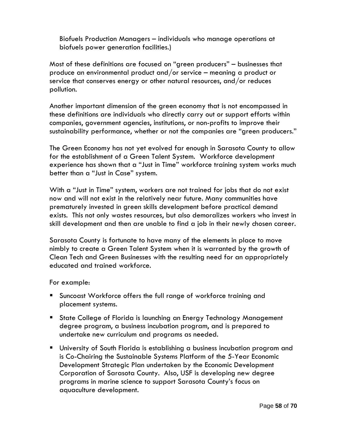Biofuels Production Managers – individuals who manage operations at biofuels power generation facilities.)

Most of these definitions are focused on "green producers" – businesses that produce an environmental product and/or service – meaning a product or service that conserves energy or other natural resources, and/or reduces pollution.

Another important dimension of the green economy that is not encompassed in these definitions are individuals who directly carry out or support efforts within companies, government agencies, institutions, or non-profits to improve their sustainability performance, whether or not the companies are "green producers."

The Green Economy has not yet evolved far enough in Sarasota County to allow for the establishment of a Green Talent System. Workforce development experience has shown that a "Just in Time" workforce training system works much better than a "Just in Case" system.

With a "Just in Time" system, workers are not trained for jobs that do not exist now and will not exist in the relatively near future. Many communities have prematurely invested in green skills development before practical demand exists. This not only wastes resources, but also demoralizes workers who invest in skill development and then are unable to find a job in their newly chosen career.

Sarasota County is fortunate to have many of the elements in place to move nimbly to create a Green Talent System when it is warranted by the growth of Clean Tech and Green Businesses with the resulting need for an appropriately educated and trained workforce.

### For example:

- Suncoast Workforce offers the full range of workforce training and placement systems.
- **State College of Florida is launching an Energy Technology Management** degree program, a business incubation program, and is prepared to undertake new curriculum and programs as needed.
- University of South Florida is establishing a business incubation program and is Co-Chairing the Sustainable Systems Platform of the 5-Year Economic Development Strategic Plan undertaken by the Economic Development Corporation of Sarasota County. Also, USF is developing new degree programs in marine science to support Sarasota County's focus on aquaculture development.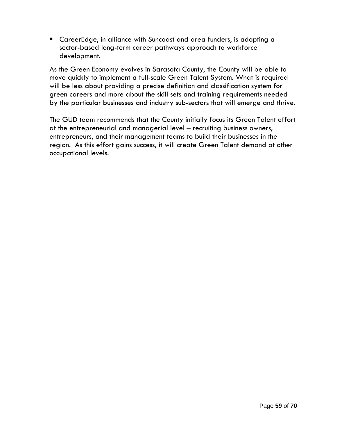CareerEdge, in alliance with Suncoast and area funders, is adopting a sector-based long-term career pathways approach to workforce development.

As the Green Economy evolves in Sarasota County, the County will be able to move quickly to implement a full-scale Green Talent System. What is required will be less about providing a precise definition and classification system for green careers and more about the skill sets and training requirements needed by the particular businesses and industry sub-sectors that will emerge and thrive.

The GUD team recommends that the County initially focus its Green Talent effort at the entrepreneurial and managerial level – recruiting business owners, entrepreneurs, and their management teams to build their businesses in the region. As this effort gains success, it will create Green Talent demand at other occupational levels.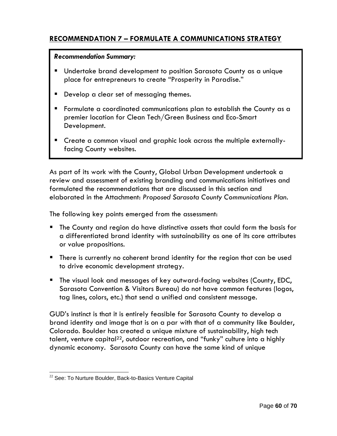# **RECOMMENDATION 7 – FORMULATE A COMMUNICATIONS STRATEGY**

### *Recommendation Summary:*

- **Undertake brand development to position Sarasota County as a unique** place for entrepreneurs to create "Prosperity in Paradise."
- Develop a clear set of messaging themes.
- Formulate a coordinated communications plan to establish the County as a premier location for Clean Tech/Green Business and Eco-Smart Development.
- Create a common visual and graphic look across the multiple externallyfacing County websites.

As part of its work with the County, Global Urban Development undertook a review and assessment of existing branding and communications initiatives and formulated the recommendations that are discussed in this section and elaborated in the Attachment: *Proposed Sarasota County Communications Plan*.

The following key points emerged from the assessment:

- The County and region do have distinctive assets that could form the basis for a differentiated brand identity with sustainability as one of its core attributes or value propositions.
- **There is currently no coherent brand identity for the region that can be used** to drive economic development strategy.
- The visual look and messages of key outward-facing websites (County, EDC, Sarasota Convention & Visitors Bureau) do not have common features (logos, tag lines, colors, etc.) that send a unified and consistent message.

GUD's instinct is that it is entirely feasible for Sarasota County to develop a brand identity and image that is on a par with that of a community like Boulder, Colorado. Boulder has created a unique mixture of sustainability, high tech talent, venture capital<sup>22</sup>, outdoor recreation, and "funky" culture into a highly dynamic economy. Sarasota County can have the same kind of unique

  $22$  See: To Nurture Boulder, Back-to-Basics Venture Capital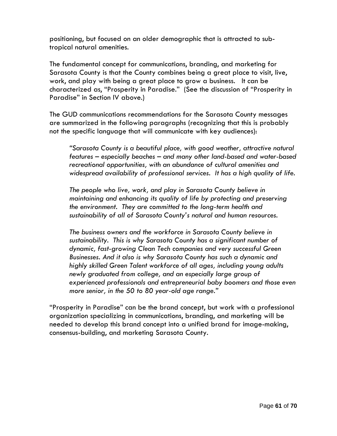positioning, but focused on an older demographic that is attracted to subtropical natural amenities.

The fundamental concept for communications, branding, and marketing for Sarasota County is that the County combines being a great place to visit, live, work, and play with being a great place to grow a business. It can be characterized as, "Prosperity in Paradise." (See the discussion of "Prosperity in Paradise" in Section IV above.)

The GUD communications recommendations for the Sarasota County messages are summarized in the following paragraphs (recognizing that this is probably not the specific language that will communicate with key audiences):

*"Sarasota County is a beautiful place, with good weather, attractive natural features – especially beaches – and many other land-based and water-based recreational opportunities, with an abundance of cultural amenities and widespread availability of professional services. It has a high quality of life.* 

*The people who live, work, and play in Sarasota County believe in maintaining and enhancing its quality of life by protecting and preserving the environment. They are committed to the long-term health and sustainability of all of Sarasota County's natural and human resources.* 

*The business owners and the workforce in Sarasota County believe in sustainability. This is why Sarasota County has a significant number of dynamic, fast-growing Clean Tech companies and very successful Green Businesses. And it also is why Sarasota County has such a dynamic and highly skilled Green Talent workforce of all ages, including young adults newly graduated from college, and an especially large group of experienced professionals and entrepreneurial baby boomers and those even more senior, in the 50 to 80 year-old age range."* 

"Prosperity in Paradise" can be the brand concept, but work with a professional organization specializing in communications, branding, and marketing will be needed to develop this brand concept into a unified brand for image-making, consensus-building, and marketing Sarasota County*.*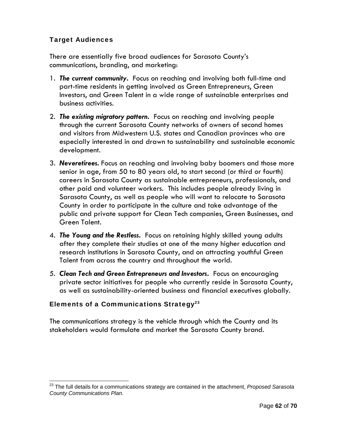### Target Audiences

There are essentially five broad audiences for Sarasota County's communications, branding, and marketing:

- 1. *The current community***.** Focus on reaching and involving both full-time and part-time residents in getting involved as Green Entrepreneurs, Green Investors, and Green Talent in a wide range of sustainable enterprises and business activities.
- 2. *The existing migratory pattern***.** Focus on reaching and involving people through the current Sarasota County networks of owners of second homes and visitors from Midwestern U.S. states and Canadian provinces who are especially interested in and drawn to sustainability and sustainable economic development.
- 3. *Neveretirees.* Focus on reaching and involving baby boomers and those more senior in age, from 50 to 80 years old, to start second (or third or fourth) careers in Sarasota County as sustainable entrepreneurs, professionals, and other paid and volunteer workers. This includes people already living in Sarasota County, as well as people who will want to relocate to Sarasota County in order to participate in the culture and take advantage of the public and private support for Clean Tech companies, Green Businesses, and Green Talent.
- 4. *The Young and the Restless***.** Focus on retaining highly skilled young adults after they complete their studies at one of the many higher education and research institutions in Sarasota County, and on attracting youthful Green Talent from across the country and throughout the world.
- 5. *Clean Tech and Green Entrepreneurs and Investors***.** Focus on encouraging private sector initiatives for people who currently reside in Sarasota County, as well as sustainability-oriented business and financial executives globally.

# Elements of a Communications Strategy<sup>23</sup>

The communications strategy is the vehicle through which the County and its stakeholders would formulate and market the Sarasota County brand.

<sup>23</sup> The full details for a communications strategy are contained in the attachment, *Proposed Sarasota County Communications Plan.*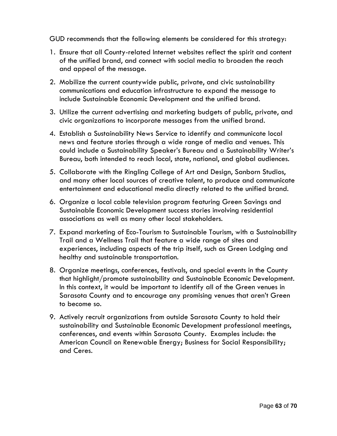GUD recommends that the following elements be considered for this strategy:

- 1. Ensure that all County-related Internet websites reflect the spirit and content of the unified brand, and connect with social media to broaden the reach and appeal of the message.
- 2. Mobilize the current countywide public, private, and civic sustainability communications and education infrastructure to expand the message to include Sustainable Economic Development and the unified brand.
- 3. Utilize the current advertising and marketing budgets of public, private, and civic organizations to incorporate messages from the unified brand.
- 4. Establish a Sustainability News Service to identify and communicate local news and feature stories through a wide range of media and venues. This could include a Sustainability Speaker's Bureau and a Sustainability Writer's Bureau, both intended to reach local, state, national, and global audiences.
- 5. Collaborate with the Ringling College of Art and Design, Sanborn Studios, and many other local sources of creative talent, to produce and communicate entertainment and educational media directly related to the unified brand.
- 6. Organize a local cable television program featuring Green Savings and Sustainable Economic Development success stories involving residential associations as well as many other local stakeholders.
- 7. Expand marketing of Eco-Tourism to Sustainable Tourism, with a Sustainability Trail and a Wellness Trail that feature a wide range of sites and experiences, including aspects of the trip itself, such as Green Lodging and healthy and sustainable transportation.
- 8. Organize meetings, conferences, festivals, and special events in the County that highlight/promote sustainability and Sustainable Economic Development. In this context, it would be important to identify all of the Green venues in Sarasota County and to encourage any promising venues that aren't Green to become so.
- 9. Actively recruit organizations from outside Sarasota County to hold their sustainability and Sustainable Economic Development professional meetings, conferences, and events within Sarasota County. Examples include: the American Council on Renewable Energy; Business for Social Responsibility; and Ceres.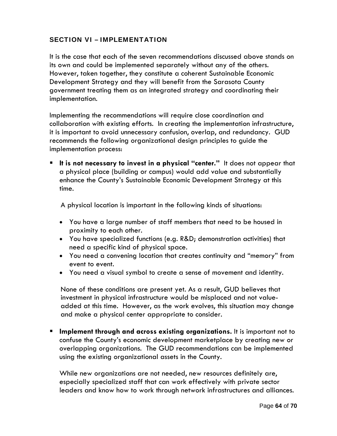### SECTION VI – IMPLEMENTATION

It is the case that each of the seven recommendations discussed above stands on its own and could be implemented separately without any of the others. However, taken together, they constitute a coherent Sustainable Economic Development Strategy and they will benefit from the Sarasota County government treating them as an integrated strategy and coordinating their implementation.

Implementing the recommendations will require close coordination and collaboration with existing efforts. In creating the implementation infrastructure, it is important to avoid unnecessary confusion, overlap, and redundancy. GUD recommends the following organizational design principles to guide the implementation process:

 **It is not necessary to invest in a physical "center."** It does not appear that a physical place (building or campus) would add value and substantially enhance the County's Sustainable Economic Development Strategy at this time.

A physical location is important in the following kinds of situations:

- You have a large number of staff members that need to be housed in proximity to each other.
- You have specialized functions (e.g. R&D; demonstration activities) that need a specific kind of physical space.
- You need a convening location that creates continuity and "memory" from event to event.
- You need a visual symbol to create a sense of movement and identity.

None of these conditions are present yet. As a result, GUD believes that investment in physical infrastructure would be misplaced and not valueadded at this time. However, as the work evolves, this situation may change and make a physical center appropriate to consider.

 **Implement through and across existing organizations.** It is important not to confuse the County's economic development marketplace by creating new or overlapping organizations. The GUD recommendations can be implemented using the existing organizational assets in the County.

While new organizations are not needed, new resources definitely are, especially specialized staff that can work effectively with private sector leaders and know how to work through network infrastructures and alliances.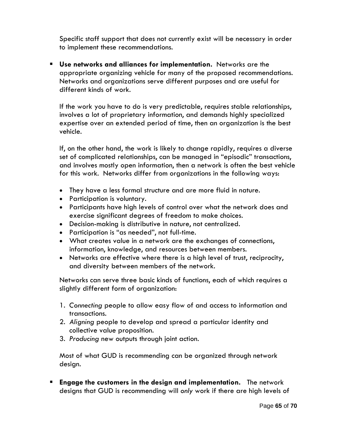Specific staff support that does not currently exist will be necessary in order to implement these recommendations.

 **Use networks and alliances for implementation.** Networks are the appropriate organizing vehicle for many of the proposed recommendations. Networks and organizations serve different purposes and are useful for different kinds of work.

If the work you have to do is very predictable, requires stable relationships, involves a lot of proprietary information, and demands highly specialized expertise over an extended period of time, then an organization is the best vehicle.

If, on the other hand, the work is likely to change rapidly, requires a diverse set of complicated relationships, can be managed in "episodic" transactions, and involves mostly open information, then a network is often the best vehicle for this work. Networks differ from organizations in the following ways:

- They have a less formal structure and are more fluid in nature.
- Participation is voluntary.
- Participants have high levels of control over what the network does and exercise significant degrees of freedom to make choices.
- Decision-making is distributive in nature, not centralized.
- Participation is "as needed", not full-time.
- What creates value in a network are the exchanges of connections, information, knowledge, and resources between members.
- Networks are effective where there is a high level of trust, reciprocity, and diversity between members of the network.

Networks can serve three basic kinds of functions, each of which requires a slightly different form of organization:

- 1. *Connecting* people to allow easy flow of and access to information and transactions.
- 2. *Aligning* people to develop and spread a particular identity and collective value proposition.
- 3. *Producing* new outputs through joint action.

Most of what GUD is recommending can be organized through network design.

 **Engage the customers in the design and implementation.** The network designs that GUD is recommending will *only* work if there are high levels of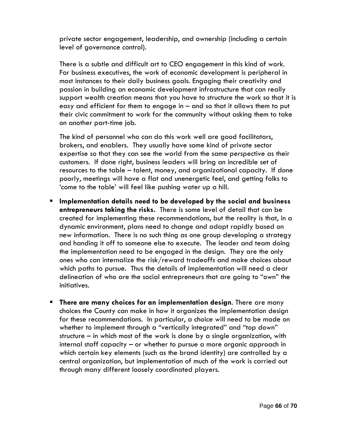private sector engagement, leadership, and ownership (including a certain level of governance control).

There is a subtle and difficult art to CEO engagement in this kind of work. For business executives, the work of economic development is peripheral in most instances to their daily business goals. Engaging their creativity and passion in building an economic development infrastructure that can really support wealth creation means that you have to structure the work so that it is easy and efficient for them to engage in – and so that it allows them to put their civic commitment to work for the community without asking them to take on another part-time job.

The kind of personnel who can do this work well are good facilitators, brokers, and enablers. They usually have some kind of private sector expertise so that they can see the world from the same perspective as their customers. If done right, business leaders will bring an incredible set of resources to the table – talent, money, and organizational capacity. If done poorly, meetings will have a flat and unenergetic feel, and getting folks to 'come to the table' will feel like pushing water up a hill.

- **Implementation details need to be developed by the social and business entrepreneurs taking the risks.** There is some level of detail that can be created for implementing these recommendations, but the reality is that, in a dynamic environment, plans need to change and adapt rapidly based on new information. There is no such thing as one group developing a strategy and handing it off to someone else to execute. The leader and team doing the implementation need to be engaged in the design. They are the only ones who can internalize the risk/reward tradeoffs and make choices about which paths to pursue. Thus the details of implementation will need a clear delineation of who are the social entrepreneurs that are going to "own" the initiatives.
- **There are many choices for an implementation design**. There are many choices the County can make in how it organizes the implementation design for these recommendations. In particular, a choice will need to be made on whether to implement through a "vertically integrated" and "top down" structure – in which most of the work is done by a single organization, with internal staff capacity – or whether to pursue a more organic approach in which certain key elements (such as the brand identity) are controlled by a central organization, but implementation of much of the work is carried out through many different loosely coordinated players.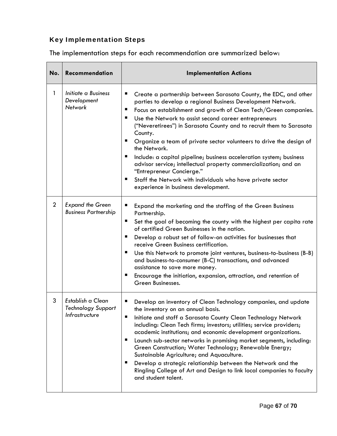# Key Implementation Steps

The implementation steps for each recommendation are summarized below:

| No.            | Recommendation                                                   | <b>Implementation Actions</b>                                                                                                                                                                                                                                                                                                                                                                                                                                                                                                                                                                                                                                                                                                                    |
|----------------|------------------------------------------------------------------|--------------------------------------------------------------------------------------------------------------------------------------------------------------------------------------------------------------------------------------------------------------------------------------------------------------------------------------------------------------------------------------------------------------------------------------------------------------------------------------------------------------------------------------------------------------------------------------------------------------------------------------------------------------------------------------------------------------------------------------------------|
| 1              | Initiate a Business<br>Development<br>Network                    | Create a partnership between Sarasota County, the EDC, and other<br>ш<br>parties to develop a regional Business Development Network.<br>Focus on establishment and growth of Clean Tech/Green companies.<br>п<br>ш<br>Use the Network to assist second career entrepreneurs<br>("Neveretirees") in Sarasota County and to recruit them to Sarasota<br>County.<br>ш<br>Organize a team of private sector volunteers to drive the design of<br>the Network.<br>Include: a capital pipeline; business acceleration system; business<br>ш<br>advisor service; intellectual property commercialization; and an<br>"Entrepreneur Concierge."<br>Staff the Network with individuals who have private sector<br>ш<br>experience in business development. |
| $\overline{2}$ | <b>Expand the Green</b><br><b>Business Partnership</b>           | Expand the marketing and the staffing of the Green Business<br>ш<br>Partnership.<br>ш<br>Set the goal of becoming the county with the highest per capita rate<br>of certified Green Businesses in the nation.<br>Develop a robust set of follow-on activities for businesses that<br>ш<br>receive Green Business certification.<br>ш<br>Use this Network to promote joint ventures, business-to-business (B-B)<br>and business-to-consumer (B-C) transactions, and advanced<br>assistance to save more money.<br>Encourage the initiation, expansion, attraction, and retention of<br>ш<br>Green Businesses.                                                                                                                                     |
| 3              | Establish a Clean<br><b>Technology Support</b><br>Infrastructure | Develop an inventory of Clean Technology companies, and update<br>ш<br>the inventory on an annual basis.<br>п<br>Initiate and staff a Sarasota County Clean Technology Network<br>including: Clean Tech firms; investors; utilities; service providers;<br>academic institutions; and economic development organizations.<br>ш<br>Launch sub-sector networks in promising market segments, including:<br>Green Construction; Water Technology; Renewable Energy;<br>Sustainable Agriculture; and Aquaculture.<br>Develop a strategic relationship between the Network and the<br>ш<br>Ringling College of Art and Design to link local companies to faculty<br>and student talent.                                                               |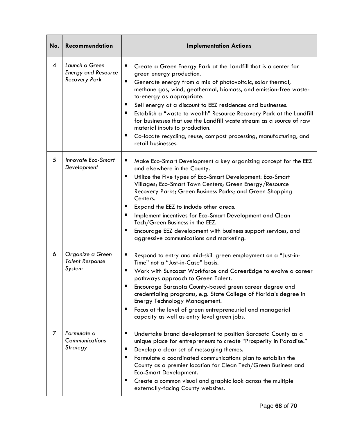| No.            | Recommendation                                                       | <b>Implementation Actions</b>                                                                                                                                                                                                                                                                                                                                                                                                                                                                                                                                                                                                    |
|----------------|----------------------------------------------------------------------|----------------------------------------------------------------------------------------------------------------------------------------------------------------------------------------------------------------------------------------------------------------------------------------------------------------------------------------------------------------------------------------------------------------------------------------------------------------------------------------------------------------------------------------------------------------------------------------------------------------------------------|
| $\overline{4}$ | Launch a Green<br><b>Energy and Resource</b><br><b>Recovery Park</b> | ш<br>Create a Green Energy Park at the Landfill that is a center for<br>green energy production.<br>п<br>Generate energy from a mix of photovoltaic, solar thermal,<br>methane gas, wind, geothermal, biomass, and emission-free waste-<br>to-energy as appropriate.<br>ш<br>Sell energy at a discount to EEZ residences and businesses.<br>ш<br>Establish a "waste to wealth" Resource Recovery Park at the Landfill<br>for businesses that use the Landfill waste stream as a source of raw<br>material inputs to production.<br>ш<br>Co-locate recycling, reuse, compost processing, manufacturing, and<br>retail businesses. |
| 5              | <b>Innovate Eco-Smart</b><br>Development                             | п<br>Make Eco-Smart Development a key organizing concept for the EEZ<br>and elsewhere in the County.<br>Utilize the Five types of Eco-Smart Development: Eco-Smart<br>п<br>Villages; Eco-Smart Town Centers; Green Energy/Resource<br>Recovery Parks; Green Business Parks; and Green Shopping<br>Centers.<br>ш<br>Expand the EEZ to include other areas.<br>Implement incentives for Eco-Smart Development and Clean<br>ш<br>Tech/Green Business in the EEZ.<br>Encourage EEZ development with business support services, and<br>ш<br>aggressive communications and marketing.                                                  |
| 6              | Organize a Green<br><b>Talent Response</b><br>System                 | п<br>Respond to entry and mid-skill green employment on a "Just-in-<br>Time" not a "Just-in-Case" basis.<br>Work with Suncoast Workforce and CareerEdge to evolve a career<br>ш<br>pathways approach to Green Talent.<br>п<br>Encourage Sarasota County-based green career degree and<br>credentialing programs, e.g. State College of Florida's degree in<br>Energy Technology Management.<br>Focus at the level of green entrepreneurial and managerial<br>п<br>capacity as well as entry level green jobs.                                                                                                                    |
| 7              | Formulate a<br>Communications<br>Strategy                            | п<br>Undertake brand development to position Sarasota County as a<br>unique place for entrepreneurs to create "Prosperity in Paradise."<br>Develop a clear set of messaging themes.<br>п<br>Formulate a coordinated communications plan to establish the<br>ш<br>County as a premier location for Clean Tech/Green Business and<br>Eco-Smart Development.<br>Create a common visual and graphic look across the multiple<br>п<br>externally-facing County websites.                                                                                                                                                              |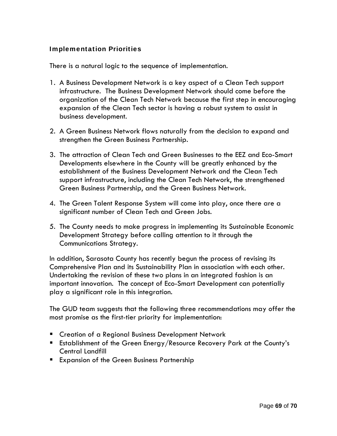### Implementation Priorities

There is a natural logic to the sequence of implementation.

- 1. A Business Development Network is a key aspect of a Clean Tech support infrastructure. The Business Development Network should come before the organization of the Clean Tech Network because the first step in encouraging expansion of the Clean Tech sector is having a robust system to assist in business development.
- 2. A Green Business Network flows naturally from the decision to expand and strengthen the Green Business Partnership.
- 3. The attraction of Clean Tech and Green Businesses to the EEZ and Eco-Smart Developments elsewhere in the County will be greatly enhanced by the establishment of the Business Development Network and the Clean Tech support infrastructure, including the Clean Tech Network, the strengthened Green Business Partnership, and the Green Business Network.
- 4. The Green Talent Response System will come into play, once there are a significant number of Clean Tech and Green Jobs.
- 5. The County needs to make progress in implementing its Sustainable Economic Development Strategy before calling attention to it through the Communications Strategy.

In addition, Sarasota County has recently begun the process of revising its Comprehensive Plan and its Sustainability Plan in association with each other. Undertaking the revision of these two plans in an integrated fashion is an important innovation. The concept of Eco-Smart Development can potentially play a significant role in this integration.

The GUD team suggests that the following three recommendations may offer the most promise as the first-tier priority for implementation:

- **E** Creation of a Regional Business Development Network
- **Establishment of the Green Energy/Resource Recovery Park at the County's** Central Landfill
- **Expansion of the Green Business Partnership**